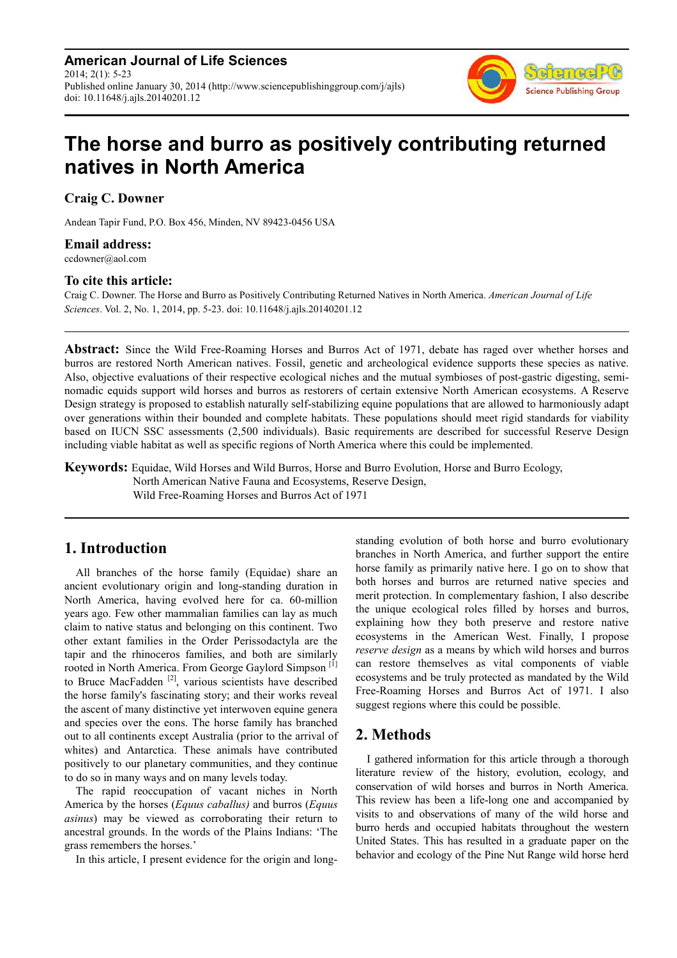**American Journal of Life Sciences** 2014; 2(1): 5-23 Published online January 30, 2014 (http://www.sciencepublishinggroup.com/j/ajls) doi: 10.11648/j.ajls.20140201.12



# **The horse and burro as positively contributing returned natives in North America**

**Craig C. Downer** 

Andean Tapir Fund, P.O. Box 456, Minden, NV 89423-0456 USA

## **Email address:**

ccdowner@aol.com

## **To cite this article:**

Craig C. Downer. The Horse and Burro as Positively Contributing Returned Natives in North America. *American Journal of Life Sciences*. Vol. 2, No. 1, 2014, pp. 5-23. doi: 10.11648/j.ajls.20140201.12

**Abstract:** Since the Wild Free-Roaming Horses and Burros Act of 1971, debate has raged over whether horses and burros are restored North American natives. Fossil, genetic and archeological evidence supports these species as native. Also, objective evaluations of their respective ecological niches and the mutual symbioses of post-gastric digesting, seminomadic equids support wild horses and burros as restorers of certain extensive North American ecosystems. A Reserve Design strategy is proposed to establish naturally self-stabilizing equine populations that are allowed to harmoniously adapt over generations within their bounded and complete habitats. These populations should meet rigid standards for viability based on IUCN SSC assessments (2,500 individuals). Basic requirements are described for successful Reserve Design including viable habitat as well as specific regions of North America where this could be implemented.

**Keywords:** Equidae, Wild Horses and Wild Burros, Horse and Burro Evolution, Horse and Burro Ecology, North American Native Fauna and Ecosystems, Reserve Design, Wild Free-Roaming Horses and Burros Act of 1971

## **1. Introduction**

All branches of the horse family (Equidae) share an ancient evolutionary origin and long-standing duration in North America, having evolved here for ca. 60-million years ago. Few other mammalian families can lay as much claim to native status and belonging on this continent. Two other extant families in the Order Perissodactyla are the tapir and the rhinoceros families, and both are similarly rooted in North America. From George Gaylord Simpson<sup>[1]</sup> to Bruce MacFadden<sup>[2]</sup>, various scientists have described the horse family's fascinating story; and their works reveal the ascent of many distinctive yet interwoven equine genera and species over the eons. The horse family has branched out to all continents except Australia (prior to the arrival of whites) and Antarctica. These animals have contributed positively to our planetary communities, and they continue to do so in many ways and on many levels today.

The rapid reoccupation of vacant niches in North America by the horses (*Equus caballus)* and burros (*Equus asinus*) may be viewed as corroborating their return to ancestral grounds. In the words of the Plains Indians: 'The grass remembers the horses.'

In this article, I present evidence for the origin and long-

standing evolution of both horse and burro evolutionary branches in North America, and further support the entire horse family as primarily native here. I go on to show that both horses and burros are returned native species and merit protection. In complementary fashion, I also describe the unique ecological roles filled by horses and burros, explaining how they both preserve and restore native ecosystems in the American West. Finally, I propose *reserve design* as a means by which wild horses and burros can restore themselves as vital components of viable ecosystems and be truly protected as mandated by the Wild Free-Roaming Horses and Burros Act of 1971. I also suggest regions where this could be possible.

## **2. Methods**

I gathered information for this article through a thorough literature review of the history, evolution, ecology, and conservation of wild horses and burros in North America. This review has been a life-long one and accompanied by visits to and observations of many of the wild horse and burro herds and occupied habitats throughout the western United States. This has resulted in a graduate paper on the behavior and ecology of the Pine Nut Range wild horse herd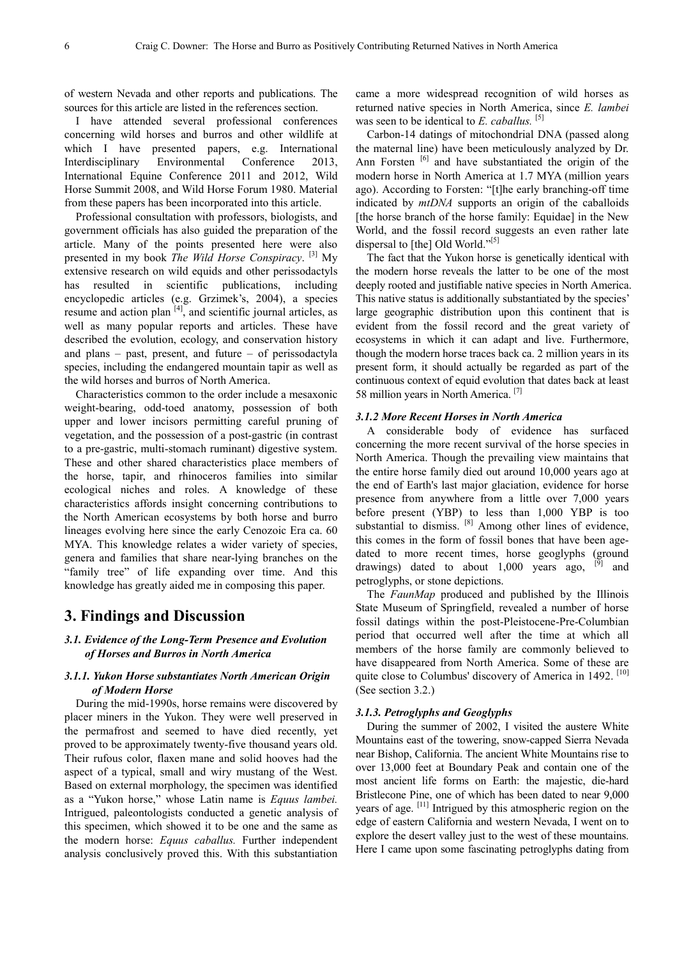of western Nevada and other reports and publications. The sources for this article are listed in the references section.

I have attended several professional conferences concerning wild horses and burros and other wildlife at which I have presented papers, e.g. International Interdisciplinary Environmental Conference 2013, International Equine Conference 2011 and 2012, Wild Horse Summit 2008, and Wild Horse Forum 1980. Material from these papers has been incorporated into this article.

Professional consultation with professors, biologists, and government officials has also guided the preparation of the article. Many of the points presented here were also presented in my book *The Wild Horse Conspiracy*. [3] My extensive research on wild equids and other perissodactyls has resulted in scientific publications, including encyclopedic articles (e.g. Grzimek's, 2004), a species resume and action plan  $[4]$ , and scientific journal articles, as well as many popular reports and articles. These have described the evolution, ecology, and conservation history and plans – past, present, and future – of perissodactyla species, including the endangered mountain tapir as well as the wild horses and burros of North America.

Characteristics common to the order include a mesaxonic weight-bearing, odd-toed anatomy, possession of both upper and lower incisors permitting careful pruning of vegetation, and the possession of a post-gastric (in contrast to a pre-gastric, multi-stomach ruminant) digestive system. These and other shared characteristics place members of the horse, tapir, and rhinoceros families into similar ecological niches and roles. A knowledge of these characteristics affords insight concerning contributions to the North American ecosystems by both horse and burro lineages evolving here since the early Cenozoic Era ca. 60 MYA. This knowledge relates a wider variety of species, genera and families that share near-lying branches on the "family tree" of life expanding over time. And this knowledge has greatly aided me in composing this paper.

## **3. Findings and Discussion**

## *3.1. Evidence of the Long-Term Presence and Evolution of Horses and Burros in North America*

## *3.1.1. Yukon Horse substantiates North American Origin of Modern Horse*

During the mid-1990s, horse remains were discovered by placer miners in the Yukon. They were well preserved in the permafrost and seemed to have died recently, yet proved to be approximately twenty-five thousand years old. Their rufous color, flaxen mane and solid hooves had the aspect of a typical, small and wiry mustang of the West. Based on external morphology, the specimen was identified as a "Yukon horse," whose Latin name is *Equus lambei.*  Intrigued, paleontologists conducted a genetic analysis of this specimen, which showed it to be one and the same as the modern horse: *Equus caballus.* Further independent analysis conclusively proved this. With this substantiation came a more widespread recognition of wild horses as returned native species in North America, since *E. lambei* was seen to be identical to *E. caballus.* [5]

Carbon-14 datings of mitochondrial DNA (passed along the maternal line) have been meticulously analyzed by Dr. Ann Forsten<sup>[6]</sup> and have substantiated the origin of the modern horse in North America at 1.7 MYA (million years ago). According to Forsten: "[t]he early branching-off time indicated by *mtDNA* supports an origin of the caballoids [the horse branch of the horse family: Equidae] in the New World, and the fossil record suggests an even rather late dispersal to [the] Old World."<sup>[5]</sup>

The fact that the Yukon horse is genetically identical with the modern horse reveals the latter to be one of the most deeply rooted and justifiable native species in North America. This native status is additionally substantiated by the species' large geographic distribution upon this continent that is evident from the fossil record and the great variety of ecosystems in which it can adapt and live. Furthermore, though the modern horse traces back ca. 2 million years in its present form, it should actually be regarded as part of the continuous context of equid evolution that dates back at least 58 million years in North America. [7]

#### *3.1.2 More Recent Horses in North America*

A considerable body of evidence has surfaced concerning the more recent survival of the horse species in North America. Though the prevailing view maintains that the entire horse family died out around 10,000 years ago at the end of Earth's last major glaciation, evidence for horse presence from anywhere from a little over 7,000 years before present (YBP) to less than 1,000 YBP is too substantial to dismiss. <sup>[8]</sup> Among other lines of evidence, this comes in the form of fossil bones that have been agedated to more recent times, horse geoglyphs (ground drawings) dated to about  $1,000$  years ago,  $^{[9]}$  and petroglyphs, or stone depictions.

The *FaunMap* produced and published by the Illinois State Museum of Springfield, revealed a number of horse fossil datings within the post-Pleistocene-Pre-Columbian period that occurred well after the time at which all members of the horse family are commonly believed to have disappeared from North America. Some of these are quite close to Columbus' discovery of America in 1492. [10] (See section 3.2.)

#### *3.1.3. Petroglyphs and Geoglyphs*

During the summer of 2002, I visited the austere White Mountains east of the towering, snow-capped Sierra Nevada near Bishop, California. The ancient White Mountains rise to over 13,000 feet at Boundary Peak and contain one of the most ancient life forms on Earth: the majestic, die-hard Bristlecone Pine, one of which has been dated to near 9,000 years of age. [11] Intrigued by this atmospheric region on the edge of eastern California and western Nevada, I went on to explore the desert valley just to the west of these mountains. Here I came upon some fascinating petroglyphs dating from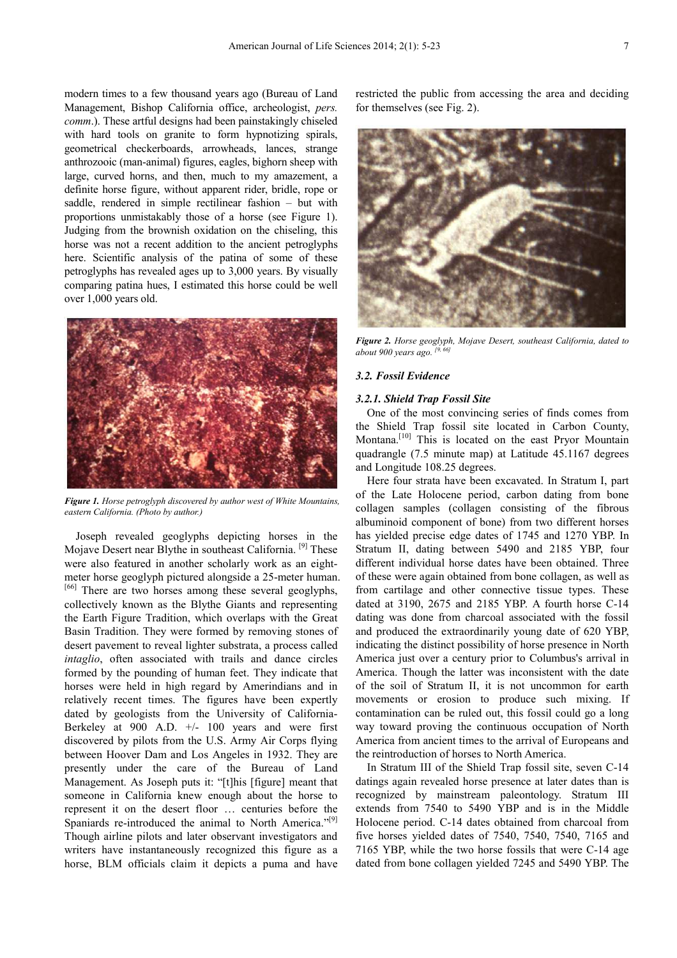modern times to a few thousand years ago (Bureau of Land Management, Bishop California office, archeologist, *pers. comm.*). These artful designs had been painstakingly chiseled with hard tools on granite to form hypnotizing spirals, geometrical checkerboards, arrowheads, lances, strange anthrozooic (man-animal) figures, eagles, bighorn sheep with large, curved horns, and then, much to my amazement, a definite horse figure, without apparent rider, bridle, rope or saddle, rendered in simple rectilinear fashion – but with proportions unmistakably those of a horse (see Figure 1). Judging from the brownish oxidation on the chiseling, this horse was not a recent addition to the ancient petroglyphs here. Scientific analysis of the patina of some of these petroglyphs has revealed ages up to 3,000 years. By visually comparing patina hues, I estimated this horse could be well over 1,000 years old.



*Figure 1. Horse petroglyph discovered by author west of White Mountains, eastern California. (Photo by author.)* 

Joseph revealed geoglyphs depicting horses in the Mojave Desert near Blythe in southeast California. [9] These were also featured in another scholarly work as an eightmeter horse geoglyph pictured alongside a 25-meter human. [66] There are two horses among these several geoglyphs, collectively known as the Blythe Giants and representing the Earth Figure Tradition, which overlaps with the Great Basin Tradition. They were formed by removing stones of desert pavement to reveal lighter substrata, a process called *intaglio*, often associated with trails and dance circles formed by the pounding of human feet. They indicate that horses were held in high regard by Amerindians and in relatively recent times. The figures have been expertly dated by geologists from the University of California-Berkeley at 900 A.D. +/- 100 years and were first discovered by pilots from the U.S. Army Air Corps flying between Hoover Dam and Los Angeles in 1932. They are presently under the care of the Bureau of Land Management. As Joseph puts it: "[t]his [figure] meant that someone in California knew enough about the horse to represent it on the desert floor … centuries before the Spaniards re-introduced the animal to North America."<sup>[9]</sup> Though airline pilots and later observant investigators and writers have instantaneously recognized this figure as a horse, BLM officials claim it depicts a puma and have

restricted the public from accessing the area and deciding for themselves (see Fig. 2).



*Figure 2. Horse geoglyph, Mojave Desert, southeast California, dated to about 900 years ago.* <sup>[9,</sup>

#### *3.2. Fossil Evidence*

#### *3.2.1. Shield Trap Fossil Site*

One of the most convincing series of finds comes from the Shield Trap fossil site located in Carbon County, Montana.<sup>[10]</sup> This is located on the east Pryor Mountain quadrangle (7.5 minute map) at Latitude 45.1167 degrees and Longitude 108.25 degrees.

Here four strata have been excavated. In Stratum I, part of the Late Holocene period, carbon dating from bone collagen samples (collagen consisting of the fibrous albuminoid component of bone) from two different horses has yielded precise edge dates of 1745 and 1270 YBP. In Stratum II, dating between 5490 and 2185 YBP, four different individual horse dates have been obtained. Three of these were again obtained from bone collagen, as well as from cartilage and other connective tissue types. These dated at 3190, 2675 and 2185 YBP. A fourth horse C-14 dating was done from charcoal associated with the fossil and produced the extraordinarily young date of 620 YBP, indicating the distinct possibility of horse presence in North America just over a century prior to Columbus's arrival in America. Though the latter was inconsistent with the date of the soil of Stratum II, it is not uncommon for earth movements or erosion to produce such mixing. If contamination can be ruled out, this fossil could go a long way toward proving the continuous occupation of North America from ancient times to the arrival of Europeans and the reintroduction of horses to North America.

In Stratum III of the Shield Trap fossil site, seven C-14 datings again revealed horse presence at later dates than is recognized by mainstream paleontology. Stratum III extends from 7540 to 5490 YBP and is in the Middle Holocene period. C-14 dates obtained from charcoal from five horses yielded dates of 7540, 7540, 7540, 7165 and 7165 YBP, while the two horse fossils that were C-14 age dated from bone collagen yielded 7245 and 5490 YBP. The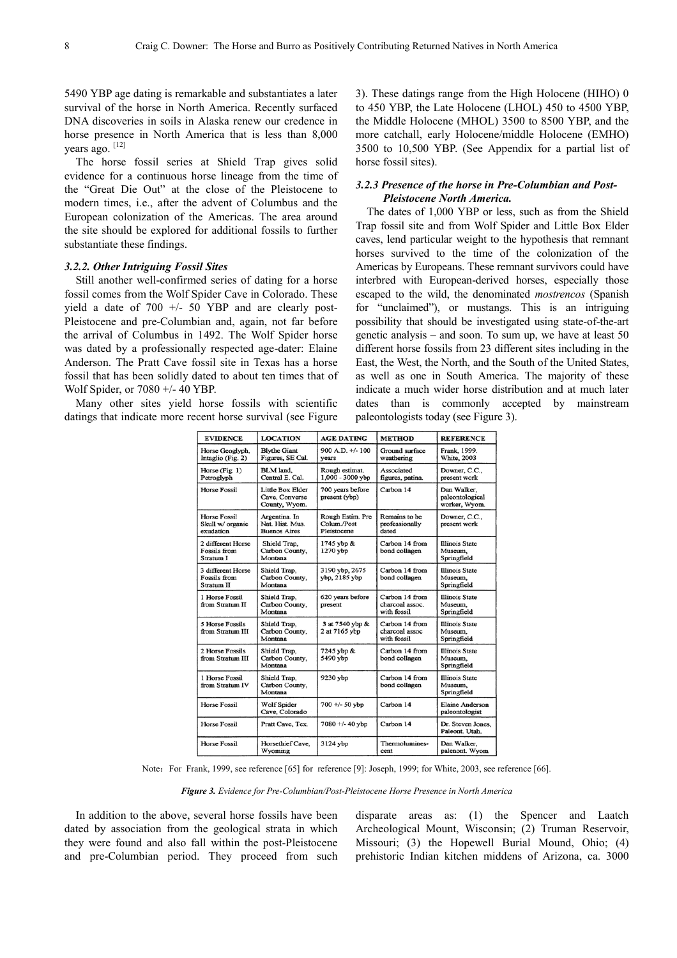5490 YBP age dating is remarkable and substantiates a later survival of the horse in North America. Recently surfaced DNA discoveries in soils in Alaska renew our credence in horse presence in North America that is less than 8,000 years ago. <sup>[12]</sup>

The horse fossil series at Shield Trap gives solid evidence for a continuous horse lineage from the time of the "Great Die Out" at the close of the Pleistocene to modern times, i.e., after the advent of Columbus and the European colonization of the Americas. The area around the site should be explored for additional fossils to further substantiate these findings.

## *3.2.2. Other Intriguing Fossil Sites*

Still another well-confirmed series of dating for a horse fossil comes from the Wolf Spider Cave in Colorado. These yield a date of 700 +/- 50 YBP and are clearly post-Pleistocene and pre-Columbian and, again, not far before the arrival of Columbus in 1492. The Wolf Spider horse was dated by a professionally respected age-dater: Elaine Anderson. The Pratt Cave fossil site in Texas has a horse fossil that has been solidly dated to about ten times that of Wolf Spider, or 7080 +/- 40 YBP.

Many other sites yield horse fossils with scientific datings that indicate more recent horse survival (see Figure

3). These datings range from the High Holocene (HIHO) 0 to 450 YBP, the Late Holocene (LHOL) 450 to 4500 YBP, the Middle Holocene (MHOL) 3500 to 8500 YBP, and the more catchall, early Holocene/middle Holocene (EMHO) 3500 to 10,500 YBP. (See Appendix for a partial list of horse fossil sites).

## *3.2.3 Presence of the horse in Pre-Columbian and Post-Pleistocene North America.*

The dates of 1,000 YBP or less, such as from the Shield Trap fossil site and from Wolf Spider and Little Box Elder caves, lend particular weight to the hypothesis that remnant horses survived to the time of the colonization of the Americas by Europeans. These remnant survivors could have interbred with European-derived horses, especially those escaped to the wild, the denominated *mostrencos* (Spanish for "unclaimed"), or mustangs. This is an intriguing possibility that should be investigated using state-of-the-art genetic analysis – and soon. To sum up, we have at least 50 different horse fossils from 23 different sites including in the East, the West, the North, and the South of the United States, as well as one in South America. The majority of these indicate a much wider horse distribution and at much later dates than is commonly accepted by mainstream paleontologists today (see Figure 3).

| <b>EVIDENCE</b>                                      | <b>LOCATION</b>                                         | <b>AGE DATING</b>                              | <b>METHOD</b>                                    | <b>REFERENCE</b>                                |
|------------------------------------------------------|---------------------------------------------------------|------------------------------------------------|--------------------------------------------------|-------------------------------------------------|
| Horse Geoglyph,<br>Intaglio (Fig. 2)                 | <b>Blythe Giant</b><br>Figures, SE Cal.                 | $900$ A.D. $+/$ -100<br>vears                  | Ground surface<br>weathering                     | Frank, 1999.<br><b>White, 2003</b>              |
| Horse (Fig. 1)<br>Petroglyph                         | BLM land.<br>Central E. Cal.                            | Rough estimat.<br>$1,000 - 3000$ ybp           | Associated<br>figures, patina.                   | Downer, C.C.,<br>present work                   |
| <b>Horse Fossil</b>                                  | Little Box Elder<br>Cave, Converse<br>County, Wyom.     | 700 years before<br>present (ybp)              | Carbon 14                                        | Dan Walker,<br>paleontological<br>worker, Wyom. |
| <b>Horse Fossil</b><br>Skull w/ organic<br>exudation | Argentina. In<br>Nat. Hist. Mus.<br><b>Buenos Aires</b> | Rough Estim. Pre<br>Colum./Post<br>Pleistocene | Remains to be<br>professionally<br>dated         | Downer, C.C.,<br>present work                   |
| 2 different Horse<br>Fossils from<br>Stratum I       | Shield Trap,<br>Carbon County,<br>Montana               | 1745 ybp &<br>1270 ybp                         | Carbon 14 from<br>bond collagen                  | <b>Illinois State</b><br>Museum.<br>Springfield |
| 3 different Horse<br>Fossils from<br>Stratum II      | Shield Trap.<br>Carbon County,<br>Montana               | 3190 ybp, 2675<br>ybp, 2185 ybp                | Carbon 14 from<br>bond collagen                  | <b>Illinois State</b><br>Museum,<br>Springfield |
| 1 Horse Fossil<br>from Stratum II                    | Shield Trap,<br>Carbon County,<br>Montana               | 620 years before<br>present                    | Carbon 14 from<br>charcoal assoc.<br>with fossil | <b>Illinois State</b><br>Museum,<br>Springfield |
| <b>5 Horse Fossils</b><br>from Stratum III           | Shield Trap,<br>Carbon County.<br>Montana               | 3 at 7540 ybp &<br>2 at 7165 vbp               | Carbon 14 from<br>charcoal assoc<br>with fossil  | <b>Illinois State</b><br>Museum.<br>Springfield |
| 2 Horse Fossils<br>from Stratum III                  | Shield Trap,<br>Carbon County,<br>Montana               | 7245 ybp &<br>5490 ybp                         | Carbon 14 from<br>bond collagen                  | <b>Illinois State</b><br>Museum,<br>Springfield |
| 1 Horse Fossil<br>from Stratum IV                    | Shield Trap,<br>Carbon County,<br>Montana               | 9230 ybp                                       | Carbon 14 from<br>bond collagen                  | <b>Illinois State</b><br>Museum.<br>Springfield |
| <b>Horse Fossil</b>                                  | Wolf Spider<br>Cave, Colorado                           | $700 +/- 50$ vbp                               | Carbon 14                                        | <b>Elaine Anderson</b><br>paleontologist        |
| <b>Horse Fossil</b>                                  | Pratt Cave, Tex.                                        | 7080 +/- 40 ybp                                | Carbon 14                                        | Dr. Steven Jones,<br>Paleont. Utah.             |
| Horse Fossil                                         | Horsethief Cave,<br>Wyoming                             | 3124 ybp                                       | Thermolumines-<br>cent                           | Dan Walker,<br>palenont. Wyom                   |

Note: For Frank, 1999, see reference [65] for reference [9]: Joseph, 1999; for White, 2003, see reference [66].

*Figure 3. Evidence for Pre-Columbian/Post-Pleistocene Horse Presence in North America* 

In addition to the above, several horse fossils have been dated by association from the geological strata in which they were found and also fall within the post-Pleistocene and pre-Columbian period. They proceed from such disparate areas as: (1) the Spencer and Laatch Archeological Mount, Wisconsin; (2) Truman Reservoir, Missouri; (3) the Hopewell Burial Mound, Ohio; (4) prehistoric Indian kitchen middens of Arizona, ca. 3000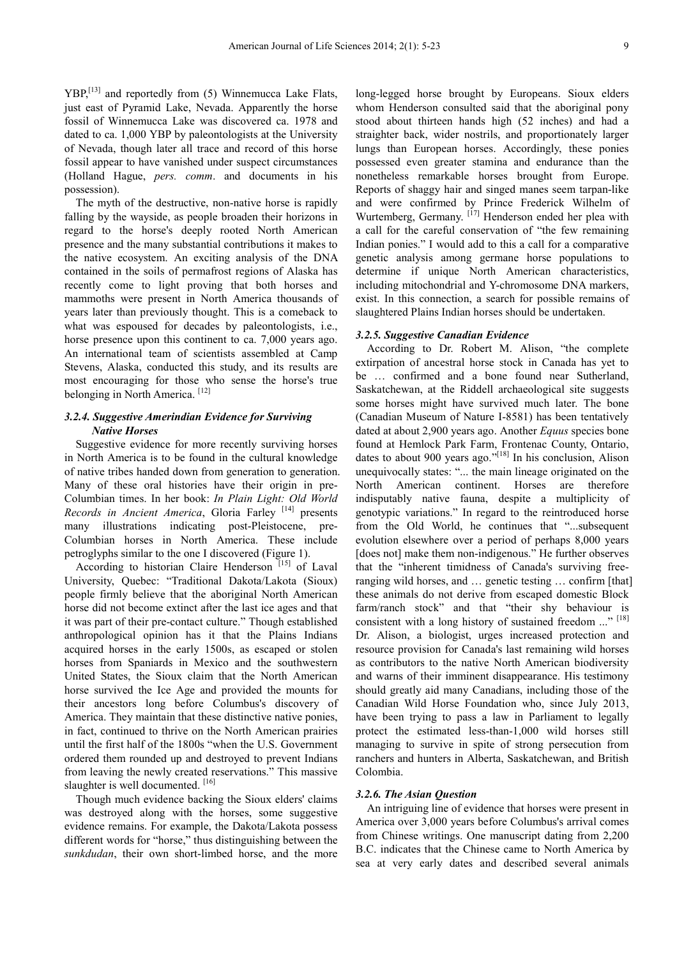YBP,[13] and reportedly from (5) Winnemucca Lake Flats, just east of Pyramid Lake, Nevada. Apparently the horse fossil of Winnemucca Lake was discovered ca. 1978 and dated to ca. 1,000 YBP by paleontologists at the University of Nevada, though later all trace and record of this horse fossil appear to have vanished under suspect circumstances (Holland Hague, *pers. comm*. and documents in his possession).

The myth of the destructive, non-native horse is rapidly falling by the wayside, as people broaden their horizons in regard to the horse's deeply rooted North American presence and the many substantial contributions it makes to the native ecosystem. An exciting analysis of the DNA contained in the soils of permafrost regions of Alaska has recently come to light proving that both horses and mammoths were present in North America thousands of years later than previously thought. This is a comeback to what was espoused for decades by paleontologists, i.e., horse presence upon this continent to ca. 7,000 years ago. An international team of scientists assembled at Camp Stevens, Alaska, conducted this study, and its results are most encouraging for those who sense the horse's true belonging in North America.<sup>[12]</sup>

## *3.2.4. Suggestive Amerindian Evidence for Surviving Native Horses*

Suggestive evidence for more recently surviving horses in North America is to be found in the cultural knowledge of native tribes handed down from generation to generation. Many of these oral histories have their origin in pre-Columbian times. In her book: *In Plain Light: Old World Records in Ancient America*, Gloria Farley [14] presents many illustrations indicating post-Pleistocene, pre-Columbian horses in North America. These include petroglyphs similar to the one I discovered (Figure 1).

According to historian Claire Henderson<sup>[15]</sup> of Laval University, Quebec: "Traditional Dakota/Lakota (Sioux) people firmly believe that the aboriginal North American horse did not become extinct after the last ice ages and that it was part of their pre-contact culture." Though established anthropological opinion has it that the Plains Indians acquired horses in the early 1500s, as escaped or stolen horses from Spaniards in Mexico and the southwestern United States, the Sioux claim that the North American horse survived the Ice Age and provided the mounts for their ancestors long before Columbus's discovery of America. They maintain that these distinctive native ponies, in fact, continued to thrive on the North American prairies until the first half of the 1800s "when the U.S. Government ordered them rounded up and destroyed to prevent Indians from leaving the newly created reservations." This massive slaughter is well documented. [16]

Though much evidence backing the Sioux elders' claims was destroyed along with the horses, some suggestive evidence remains. For example, the Dakota/Lakota possess different words for "horse," thus distinguishing between the *sunkdudan*, their own short-limbed horse, and the more

long-legged horse brought by Europeans. Sioux elders whom Henderson consulted said that the aboriginal pony stood about thirteen hands high (52 inches) and had a straighter back, wider nostrils, and proportionately larger lungs than European horses. Accordingly, these ponies possessed even greater stamina and endurance than the nonetheless remarkable horses brought from Europe. Reports of shaggy hair and singed manes seem tarpan-like and were confirmed by Prince Frederick Wilhelm of Wurtemberg, Germany.  $[17]$  Henderson ended her plea with a call for the careful conservation of "the few remaining Indian ponies." I would add to this a call for a comparative genetic analysis among germane horse populations to determine if unique North American characteristics, including mitochondrial and Y-chromosome DNA markers, exist. In this connection, a search for possible remains of slaughtered Plains Indian horses should be undertaken.

#### *3.2.5. Suggestive Canadian Evidence*

According to Dr. Robert M. Alison, "the complete extirpation of ancestral horse stock in Canada has yet to be … confirmed and a bone found near Sutherland, Saskatchewan, at the Riddell archaeological site suggests some horses might have survived much later. The bone (Canadian Museum of Nature I-8581) has been tentatively dated at about 2,900 years ago. Another *Equus* species bone found at Hemlock Park Farm, Frontenac County, Ontario, dates to about 900 years ago."[18] In his conclusion, Alison unequivocally states: "... the main lineage originated on the North American continent. Horses are therefore indisputably native fauna, despite a multiplicity of genotypic variations." In regard to the reintroduced horse from the Old World, he continues that "...subsequent evolution elsewhere over a period of perhaps 8,000 years [does not] make them non-indigenous." He further observes that the "inherent timidness of Canada's surviving freeranging wild horses, and … genetic testing … confirm [that] these animals do not derive from escaped domestic Block farm/ranch stock" and that "their shy behaviour is consistent with a long history of sustained freedom ..." [18] Dr. Alison, a biologist, urges increased protection and resource provision for Canada's last remaining wild horses as contributors to the native North American biodiversity and warns of their imminent disappearance. His testimony should greatly aid many Canadians, including those of the Canadian Wild Horse Foundation who, since July 2013, have been trying to pass a law in Parliament to legally protect the estimated less-than-1,000 wild horses still managing to survive in spite of strong persecution from ranchers and hunters in Alberta, Saskatchewan, and British Colombia.

#### *3.2.6. The Asian Question*

An intriguing line of evidence that horses were present in America over 3,000 years before Columbus's arrival comes from Chinese writings. One manuscript dating from 2,200 B.C. indicates that the Chinese came to North America by sea at very early dates and described several animals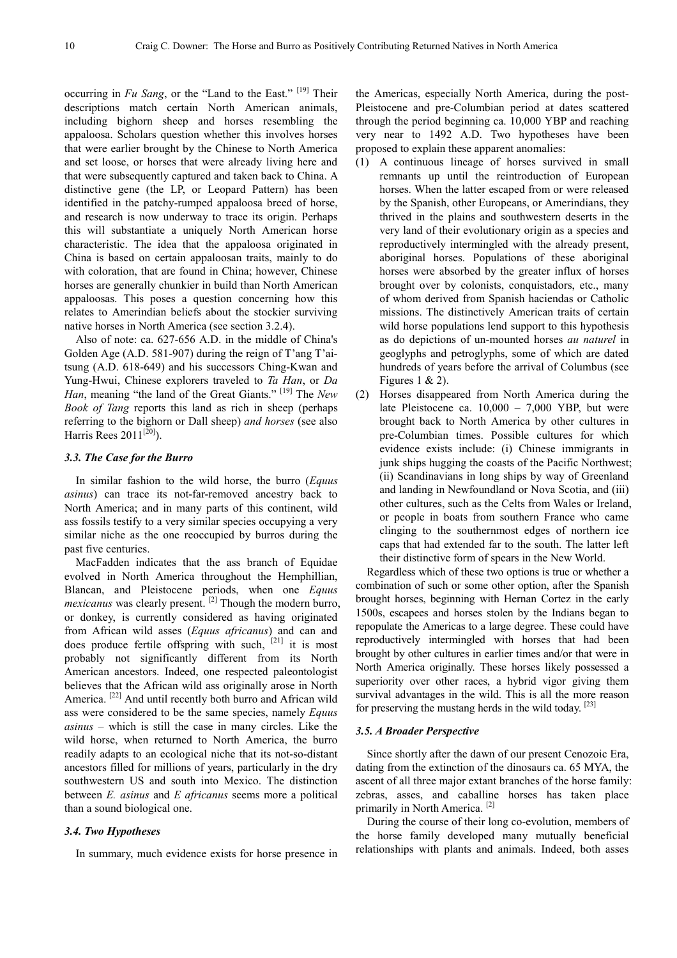occurring in *Fu Sang*, or the "Land to the East." [19] Their descriptions match certain North American animals, including bighorn sheep and horses resembling the appaloosa. Scholars question whether this involves horses that were earlier brought by the Chinese to North America and set loose, or horses that were already living here and that were subsequently captured and taken back to China. A distinctive gene (the LP, or Leopard Pattern) has been identified in the patchy-rumped appaloosa breed of horse, and research is now underway to trace its origin. Perhaps this will substantiate a uniquely North American horse characteristic. The idea that the appaloosa originated in China is based on certain appaloosan traits, mainly to do with coloration, that are found in China; however, Chinese horses are generally chunkier in build than North American appaloosas. This poses a question concerning how this relates to Amerindian beliefs about the stockier surviving native horses in North America (see section 3.2.4).

Also of note: ca. 627-656 A.D. in the middle of China's Golden Age (A.D. 581-907) during the reign of T'ang T'aitsung (A.D. 618-649) and his successors Ching-Kwan and Yung-Hwui, Chinese explorers traveled to *Ta Han*, or *Da Han*, meaning "the land of the Great Giants." [19] The *New Book of Tang* reports this land as rich in sheep (perhaps referring to the bighorn or Dall sheep) *and horses* (see also Harris Rees  $2011^{[20]}$ ).

#### *3.3. The Case for the Burro*

In similar fashion to the wild horse, the burro (*Equus asinus*) can trace its not-far-removed ancestry back to North America; and in many parts of this continent, wild ass fossils testify to a very similar species occupying a very similar niche as the one reoccupied by burros during the past five centuries.

MacFadden indicates that the ass branch of Equidae evolved in North America throughout the Hemphillian, Blancan, and Pleistocene periods, when one *Equus mexicanus* was clearly present. <sup>[2]</sup> Though the modern burro, or donkey, is currently considered as having originated from African wild asses (*Equus africanus*) and can and does produce fertile offspring with such, [21] it is most probably not significantly different from its North American ancestors. Indeed, one respected paleontologist believes that the African wild ass originally arose in North America.<sup>[22]</sup> And until recently both burro and African wild ass were considered to be the same species, namely *Equus asinus* – which is still the case in many circles. Like the wild horse, when returned to North America, the burro readily adapts to an ecological niche that its not-so-distant ancestors filled for millions of years, particularly in the dry southwestern US and south into Mexico. The distinction between *E. asinus* and *E africanus* seems more a political than a sound biological one.

## *3.4. Two Hypotheses*

In summary, much evidence exists for horse presence in

the Americas, especially North America, during the post-Pleistocene and pre-Columbian period at dates scattered through the period beginning ca. 10,000 YBP and reaching very near to 1492 A.D. Two hypotheses have been proposed to explain these apparent anomalies:

- (1) A continuous lineage of horses survived in small remnants up until the reintroduction of European horses. When the latter escaped from or were released by the Spanish, other Europeans, or Amerindians, they thrived in the plains and southwestern deserts in the very land of their evolutionary origin as a species and reproductively intermingled with the already present, aboriginal horses. Populations of these aboriginal horses were absorbed by the greater influx of horses brought over by colonists, conquistadors, etc., many of whom derived from Spanish haciendas or Catholic missions. The distinctively American traits of certain wild horse populations lend support to this hypothesis as do depictions of un-mounted horses *au naturel* in geoglyphs and petroglyphs, some of which are dated hundreds of years before the arrival of Columbus (see Figures 1  $& 2$ ).
- (2) Horses disappeared from North America during the late Pleistocene ca. 10,000 – 7,000 YBP, but were brought back to North America by other cultures in pre-Columbian times. Possible cultures for which evidence exists include: (i) Chinese immigrants in junk ships hugging the coasts of the Pacific Northwest; (ii) Scandinavians in long ships by way of Greenland and landing in Newfoundland or Nova Scotia, and (iii) other cultures, such as the Celts from Wales or Ireland, or people in boats from southern France who came clinging to the southernmost edges of northern ice caps that had extended far to the south. The latter left their distinctive form of spears in the New World.

Regardless which of these two options is true or whether a combination of such or some other option, after the Spanish brought horses, beginning with Hernan Cortez in the early 1500s, escapees and horses stolen by the Indians began to repopulate the Americas to a large degree. These could have reproductively intermingled with horses that had been brought by other cultures in earlier times and/or that were in North America originally. These horses likely possessed a superiority over other races, a hybrid vigor giving them survival advantages in the wild. This is all the more reason for preserving the mustang herds in the wild today.<sup>[23]</sup>

### *3.5. A Broader Perspective*

Since shortly after the dawn of our present Cenozoic Era, dating from the extinction of the dinosaurs ca. 65 MYA, the ascent of all three major extant branches of the horse family: zebras, asses, and caballine horses has taken place primarily in North America. [2]

During the course of their long co-evolution, members of the horse family developed many mutually beneficial relationships with plants and animals. Indeed, both asses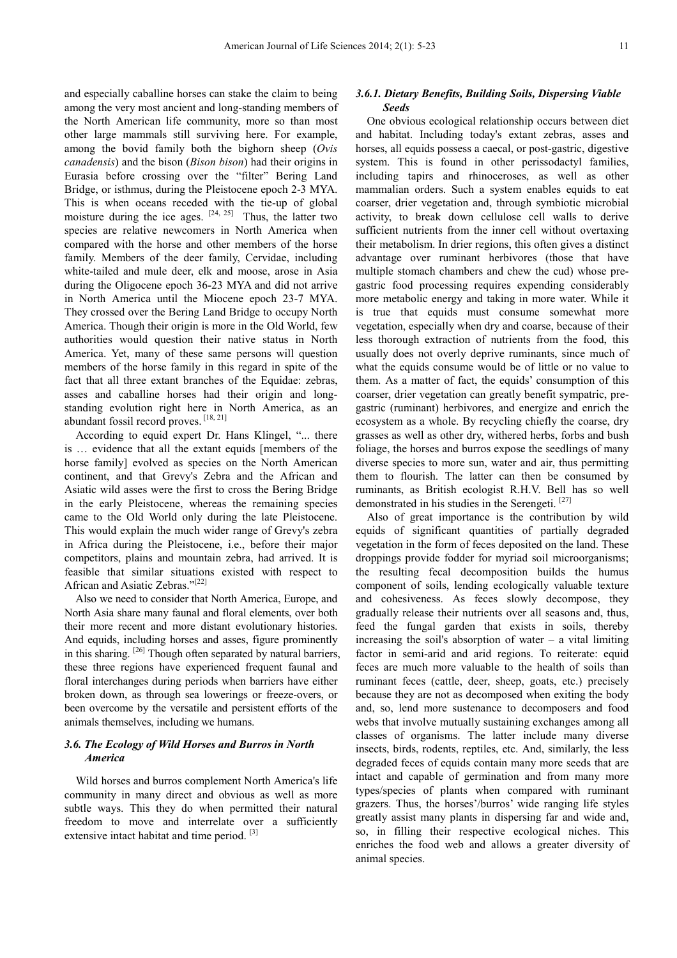and especially caballine horses can stake the claim to being among the very most ancient and long-standing members of the North American life community, more so than most other large mammals still surviving here. For example, among the bovid family both the bighorn sheep (*Ovis canadensis*) and the bison (*Bison bison*) had their origins in Eurasia before crossing over the "filter" Bering Land Bridge, or isthmus, during the Pleistocene epoch 2-3 MYA. This is when oceans receded with the tie-up of global moisture during the ice ages.  $[24, 25]$  Thus, the latter two species are relative newcomers in North America when compared with the horse and other members of the horse family. Members of the deer family, Cervidae, including white-tailed and mule deer, elk and moose, arose in Asia during the Oligocene epoch 36-23 MYA and did not arrive in North America until the Miocene epoch 23-7 MYA. They crossed over the Bering Land Bridge to occupy North America. Though their origin is more in the Old World, few authorities would question their native status in North America. Yet, many of these same persons will question members of the horse family in this regard in spite of the fact that all three extant branches of the Equidae: zebras, asses and caballine horses had their origin and longstanding evolution right here in North America, as an abundant fossil record proves. [18, 21]

According to equid expert Dr. Hans Klingel, "... there is … evidence that all the extant equids [members of the horse family] evolved as species on the North American continent, and that Grevy's Zebra and the African and Asiatic wild asses were the first to cross the Bering Bridge in the early Pleistocene, whereas the remaining species came to the Old World only during the late Pleistocene. This would explain the much wider range of Grevy's zebra in Africa during the Pleistocene, i.e., before their major competitors, plains and mountain zebra, had arrived. It is feasible that similar situations existed with respect to African and Asiatic Zebras."<sup>[22]</sup>

Also we need to consider that North America, Europe, and North Asia share many faunal and floral elements, over both their more recent and more distant evolutionary histories. And equids, including horses and asses, figure prominently in this sharing.  $[26]$  Though often separated by natural barriers, these three regions have experienced frequent faunal and floral interchanges during periods when barriers have either broken down, as through sea lowerings or freeze-overs, or been overcome by the versatile and persistent efforts of the animals themselves, including we humans.

## *3.6. The Ecology of Wild Horses and Burros in North America*

Wild horses and burros complement North America's life community in many direct and obvious as well as more subtle ways. This they do when permitted their natural freedom to move and interrelate over a sufficiently extensive intact habitat and time period.<sup>[3]</sup>

## *3.6.1. Dietary Benefits, Building Soils, Dispersing Viable Seeds*

One obvious ecological relationship occurs between diet and habitat. Including today's extant zebras, asses and horses, all equids possess a caecal, or post-gastric, digestive system. This is found in other perissodactyl families, including tapirs and rhinoceroses, as well as other mammalian orders. Such a system enables equids to eat coarser, drier vegetation and, through symbiotic microbial activity, to break down cellulose cell walls to derive sufficient nutrients from the inner cell without overtaxing their metabolism. In drier regions, this often gives a distinct advantage over ruminant herbivores (those that have multiple stomach chambers and chew the cud) whose pregastric food processing requires expending considerably more metabolic energy and taking in more water. While it is true that equids must consume somewhat more vegetation, especially when dry and coarse, because of their less thorough extraction of nutrients from the food, this usually does not overly deprive ruminants, since much of what the equids consume would be of little or no value to them. As a matter of fact, the equids' consumption of this coarser, drier vegetation can greatly benefit sympatric, pregastric (ruminant) herbivores, and energize and enrich the ecosystem as a whole. By recycling chiefly the coarse, dry grasses as well as other dry, withered herbs, forbs and bush foliage, the horses and burros expose the seedlings of many diverse species to more sun, water and air, thus permitting them to flourish. The latter can then be consumed by ruminants, as British ecologist R.H.V. Bell has so well demonstrated in his studies in the Serengeti.<sup>[27]</sup>

Also of great importance is the contribution by wild equids of significant quantities of partially degraded vegetation in the form of feces deposited on the land. These droppings provide fodder for myriad soil microorganisms; the resulting fecal decomposition builds the humus component of soils, lending ecologically valuable texture and cohesiveness. As feces slowly decompose, they gradually release their nutrients over all seasons and, thus, feed the fungal garden that exists in soils, thereby increasing the soil's absorption of water  $-$  a vital limiting factor in semi-arid and arid regions. To reiterate: equid feces are much more valuable to the health of soils than ruminant feces (cattle, deer, sheep, goats, etc.) precisely because they are not as decomposed when exiting the body and, so, lend more sustenance to decomposers and food webs that involve mutually sustaining exchanges among all classes of organisms. The latter include many diverse insects, birds, rodents, reptiles, etc. And, similarly, the less degraded feces of equids contain many more seeds that are intact and capable of germination and from many more types/species of plants when compared with ruminant grazers. Thus, the horses'/burros' wide ranging life styles greatly assist many plants in dispersing far and wide and, so, in filling their respective ecological niches. This enriches the food web and allows a greater diversity of animal species.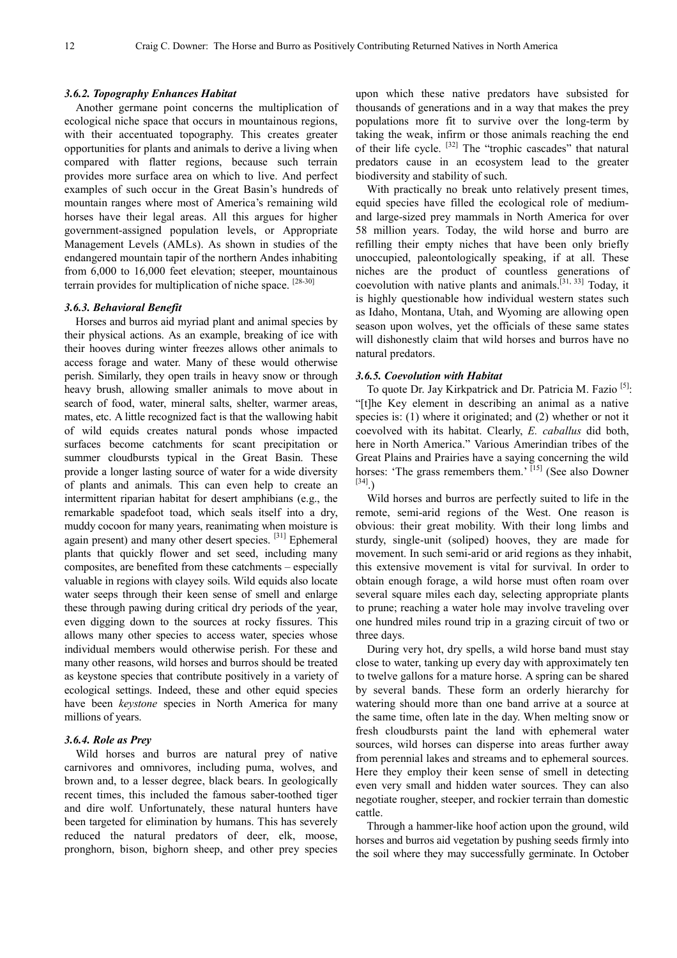#### *3.6.2. Topography Enhances Habitat*

Another germane point concerns the multiplication of ecological niche space that occurs in mountainous regions, with their accentuated topography. This creates greater opportunities for plants and animals to derive a living when compared with flatter regions, because such terrain provides more surface area on which to live. And perfect examples of such occur in the Great Basin's hundreds of mountain ranges where most of America's remaining wild horses have their legal areas. All this argues for higher government-assigned population levels, or Appropriate Management Levels (AMLs). As shown in studies of the endangered mountain tapir of the northern Andes inhabiting from 6,000 to 16,000 feet elevation; steeper, mountainous terrain provides for multiplication of niche space. [28-30]

### *3.6.3. Behavioral Benefit*

Horses and burros aid myriad plant and animal species by their physical actions. As an example, breaking of ice with their hooves during winter freezes allows other animals to access forage and water. Many of these would otherwise perish. Similarly, they open trails in heavy snow or through heavy brush, allowing smaller animals to move about in search of food, water, mineral salts, shelter, warmer areas, mates, etc. A little recognized fact is that the wallowing habit of wild equids creates natural ponds whose impacted surfaces become catchments for scant precipitation or summer cloudbursts typical in the Great Basin. These provide a longer lasting source of water for a wide diversity of plants and animals. This can even help to create an intermittent riparian habitat for desert amphibians (e.g., the remarkable spadefoot toad, which seals itself into a dry, muddy cocoon for many years, reanimating when moisture is again present) and many other desert species.  $[31]$  Ephemeral plants that quickly flower and set seed, including many composites, are benefited from these catchments – especially valuable in regions with clayey soils. Wild equids also locate water seeps through their keen sense of smell and enlarge these through pawing during critical dry periods of the year, even digging down to the sources at rocky fissures. This allows many other species to access water, species whose individual members would otherwise perish. For these and many other reasons, wild horses and burros should be treated as keystone species that contribute positively in a variety of ecological settings. Indeed, these and other equid species have been *keystone* species in North America for many millions of years.

#### *3.6.4. Role as Prey*

Wild horses and burros are natural prey of native carnivores and omnivores, including puma, wolves, and brown and, to a lesser degree, black bears. In geologically recent times, this included the famous saber-toothed tiger and dire wolf. Unfortunately, these natural hunters have been targeted for elimination by humans. This has severely reduced the natural predators of deer, elk, moose, pronghorn, bison, bighorn sheep, and other prey species

upon which these native predators have subsisted for thousands of generations and in a way that makes the prey populations more fit to survive over the long-term by taking the weak, infirm or those animals reaching the end of their life cycle. [32] The "trophic cascades" that natural predators cause in an ecosystem lead to the greater biodiversity and stability of such.

With practically no break unto relatively present times, equid species have filled the ecological role of mediumand large-sized prey mammals in North America for over 58 million years. Today, the wild horse and burro are refilling their empty niches that have been only briefly unoccupied, paleontologically speaking, if at all. These niches are the product of countless generations of coevolution with native plants and animals.[31, 33] Today, it is highly questionable how individual western states such as Idaho, Montana, Utah, and Wyoming are allowing open season upon wolves, yet the officials of these same states will dishonestly claim that wild horses and burros have no natural predators.

#### *3.6.5. Coevolution with Habitat*

To quote Dr. Jay Kirkpatrick and Dr. Patricia M. Fazio <sup>[5]</sup>: "[t]he Key element in describing an animal as a native species is: (1) where it originated; and (2) whether or not it coevolved with its habitat. Clearly, *E. caballus* did both, here in North America." Various Amerindian tribes of the Great Plains and Prairies have a saying concerning the wild horses: 'The grass remembers them.' [15] (See also Downer [34].)

Wild horses and burros are perfectly suited to life in the remote, semi-arid regions of the West. One reason is obvious: their great mobility. With their long limbs and sturdy, single-unit (soliped) hooves, they are made for movement. In such semi-arid or arid regions as they inhabit, this extensive movement is vital for survival. In order to obtain enough forage, a wild horse must often roam over several square miles each day, selecting appropriate plants to prune; reaching a water hole may involve traveling over one hundred miles round trip in a grazing circuit of two or three days.

During very hot, dry spells, a wild horse band must stay close to water, tanking up every day with approximately ten to twelve gallons for a mature horse. A spring can be shared by several bands. These form an orderly hierarchy for watering should more than one band arrive at a source at the same time, often late in the day. When melting snow or fresh cloudbursts paint the land with ephemeral water sources, wild horses can disperse into areas further away from perennial lakes and streams and to ephemeral sources. Here they employ their keen sense of smell in detecting even very small and hidden water sources. They can also negotiate rougher, steeper, and rockier terrain than domestic cattle.

Through a hammer-like hoof action upon the ground, wild horses and burros aid vegetation by pushing seeds firmly into the soil where they may successfully germinate. In October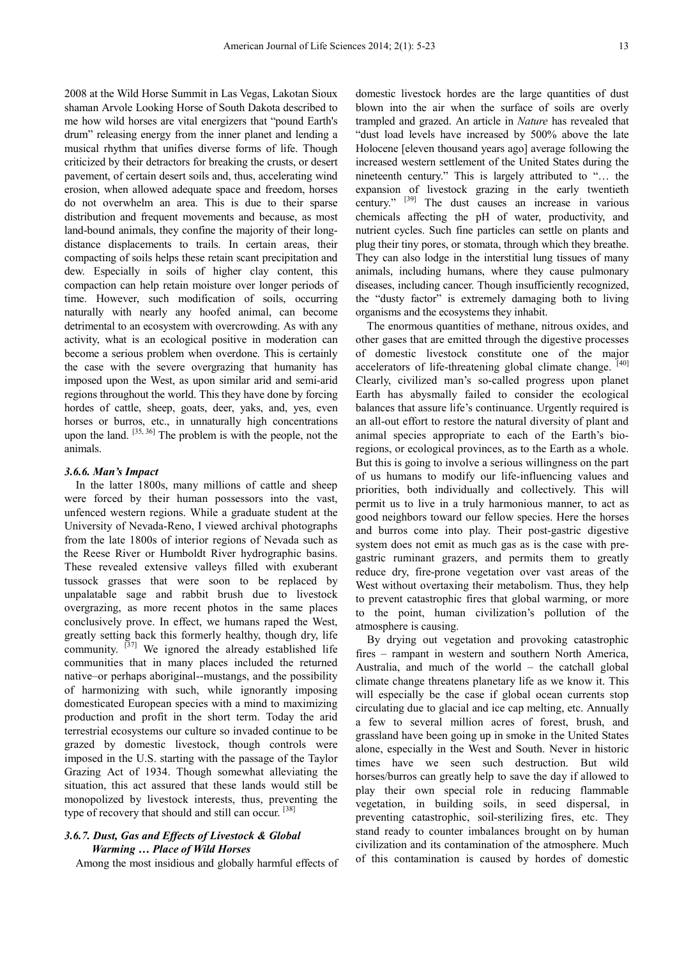2008 at the Wild Horse Summit in Las Vegas, Lakotan Sioux shaman Arvole Looking Horse of South Dakota described to me how wild horses are vital energizers that "pound Earth's drum" releasing energy from the inner planet and lending a musical rhythm that unifies diverse forms of life. Though criticized by their detractors for breaking the crusts, or desert pavement, of certain desert soils and, thus, accelerating wind erosion, when allowed adequate space and freedom, horses do not overwhelm an area. This is due to their sparse distribution and frequent movements and because, as most land-bound animals, they confine the majority of their longdistance displacements to trails. In certain areas, their compacting of soils helps these retain scant precipitation and dew. Especially in soils of higher clay content, this compaction can help retain moisture over longer periods of time. However, such modification of soils, occurring naturally with nearly any hoofed animal, can become detrimental to an ecosystem with overcrowding. As with any activity, what is an ecological positive in moderation can become a serious problem when overdone. This is certainly the case with the severe overgrazing that humanity has imposed upon the West, as upon similar arid and semi-arid regions throughout the world. This they have done by forcing hordes of cattle, sheep, goats, deer, yaks, and, yes, even horses or burros, etc., in unnaturally high concentrations upon the land.  $[35, 36]$  The problem is with the people, not the animals.

#### *3.6.6. Man's Impact*

In the latter 1800s, many millions of cattle and sheep were forced by their human possessors into the vast, unfenced western regions. While a graduate student at the University of Nevada-Reno, I viewed archival photographs from the late 1800s of interior regions of Nevada such as the Reese River or Humboldt River hydrographic basins. These revealed extensive valleys filled with exuberant tussock grasses that were soon to be replaced by unpalatable sage and rabbit brush due to livestock overgrazing, as more recent photos in the same places conclusively prove. In effect, we humans raped the West, greatly setting back this formerly healthy, though dry, life community.  $[37]$  We ignored the already established life communities that in many places included the returned native–or perhaps aboriginal--mustangs, and the possibility of harmonizing with such, while ignorantly imposing domesticated European species with a mind to maximizing production and profit in the short term. Today the arid terrestrial ecosystems our culture so invaded continue to be grazed by domestic livestock, though controls were imposed in the U.S. starting with the passage of the Taylor Grazing Act of 1934. Though somewhat alleviating the situation, this act assured that these lands would still be monopolized by livestock interests, thus, preventing the type of recovery that should and still can occur.<sup>[38]</sup>

## *3.6.7. Dust, Gas and Effects of Livestock & Global Warming … Place of Wild Horses*

Among the most insidious and globally harmful effects of

domestic livestock hordes are the large quantities of dust blown into the air when the surface of soils are overly trampled and grazed. An article in *Nature* has revealed that "dust load levels have increased by 500% above the late Holocene [eleven thousand years ago] average following the increased western settlement of the United States during the nineteenth century." This is largely attributed to "… the expansion of livestock grazing in the early twentieth century." [39] The dust causes an increase in various chemicals affecting the pH of water, productivity, and nutrient cycles. Such fine particles can settle on plants and plug their tiny pores, or stomata, through which they breathe. They can also lodge in the interstitial lung tissues of many animals, including humans, where they cause pulmonary diseases, including cancer. Though insufficiently recognized, the "dusty factor" is extremely damaging both to living organisms and the ecosystems they inhabit.

The enormous quantities of methane, nitrous oxides, and other gases that are emitted through the digestive processes of domestic livestock constitute one of the major accelerators of life-threatening global climate change. [40] Clearly, civilized man's so-called progress upon planet Earth has abysmally failed to consider the ecological balances that assure life's continuance. Urgently required is an all-out effort to restore the natural diversity of plant and animal species appropriate to each of the Earth's bioregions, or ecological provinces, as to the Earth as a whole. But this is going to involve a serious willingness on the part of us humans to modify our life-influencing values and priorities, both individually and collectively. This will permit us to live in a truly harmonious manner, to act as good neighbors toward our fellow species. Here the horses and burros come into play. Their post-gastric digestive system does not emit as much gas as is the case with pregastric ruminant grazers, and permits them to greatly reduce dry, fire-prone vegetation over vast areas of the West without overtaxing their metabolism. Thus, they help to prevent catastrophic fires that global warming, or more to the point, human civilization's pollution of the atmosphere is causing.

By drying out vegetation and provoking catastrophic fires – rampant in western and southern North America, Australia, and much of the world – the catchall global climate change threatens planetary life as we know it. This will especially be the case if global ocean currents stop circulating due to glacial and ice cap melting, etc. Annually a few to several million acres of forest, brush, and grassland have been going up in smoke in the United States alone, especially in the West and South. Never in historic times have we seen such destruction. But wild horses/burros can greatly help to save the day if allowed to play their own special role in reducing flammable vegetation, in building soils, in seed dispersal, in preventing catastrophic, soil-sterilizing fires, etc. They stand ready to counter imbalances brought on by human civilization and its contamination of the atmosphere. Much of this contamination is caused by hordes of domestic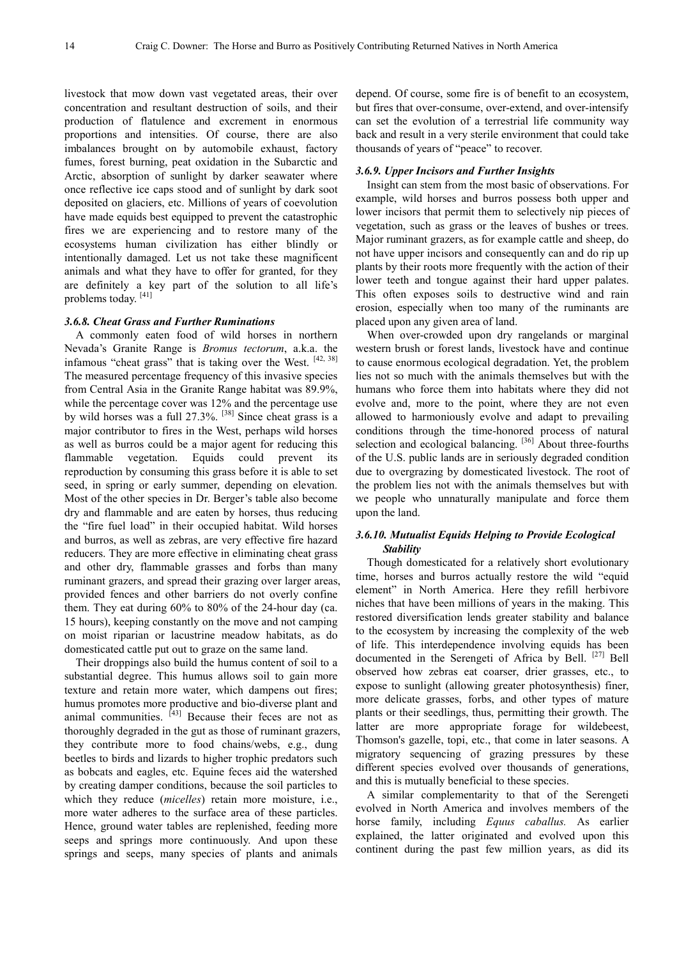livestock that mow down vast vegetated areas, their over concentration and resultant destruction of soils, and their production of flatulence and excrement in enormous proportions and intensities. Of course, there are also imbalances brought on by automobile exhaust, factory fumes, forest burning, peat oxidation in the Subarctic and Arctic, absorption of sunlight by darker seawater where once reflective ice caps stood and of sunlight by dark soot deposited on glaciers, etc. Millions of years of coevolution have made equids best equipped to prevent the catastrophic fires we are experiencing and to restore many of the ecosystems human civilization has either blindly or intentionally damaged. Let us not take these magnificent animals and what they have to offer for granted, for they are definitely a key part of the solution to all life's problems today.<sup>[41]</sup>

#### *3.6.8. Cheat Grass and Further Ruminations*

A commonly eaten food of wild horses in northern Nevada's Granite Range is *Bromus tectorum*, a.k.a. the infamous "cheat grass" that is taking over the West. [42, 38] The measured percentage frequency of this invasive species from Central Asia in the Granite Range habitat was 89.9%, while the percentage cover was 12% and the percentage use by wild horses was a full 27.3%. [38] Since cheat grass is a major contributor to fires in the West, perhaps wild horses as well as burros could be a major agent for reducing this flammable vegetation. Equids could prevent its reproduction by consuming this grass before it is able to set seed, in spring or early summer, depending on elevation. Most of the other species in Dr. Berger's table also become dry and flammable and are eaten by horses, thus reducing the "fire fuel load" in their occupied habitat. Wild horses and burros, as well as zebras, are very effective fire hazard reducers. They are more effective in eliminating cheat grass and other dry, flammable grasses and forbs than many ruminant grazers, and spread their grazing over larger areas, provided fences and other barriers do not overly confine them. They eat during 60% to 80% of the 24-hour day (ca. 15 hours), keeping constantly on the move and not camping on moist riparian or lacustrine meadow habitats, as do domesticated cattle put out to graze on the same land.

Their droppings also build the humus content of soil to a substantial degree. This humus allows soil to gain more texture and retain more water, which dampens out fires; humus promotes more productive and bio-diverse plant and animal communities.  $[43]$  Because their feces are not as thoroughly degraded in the gut as those of ruminant grazers, they contribute more to food chains/webs, e.g., dung beetles to birds and lizards to higher trophic predators such as bobcats and eagles, etc. Equine feces aid the watershed by creating damper conditions, because the soil particles to which they reduce (*micelles*) retain more moisture, i.e., more water adheres to the surface area of these particles. Hence, ground water tables are replenished, feeding more seeps and springs more continuously. And upon these springs and seeps, many species of plants and animals

depend. Of course, some fire is of benefit to an ecosystem, but fires that over-consume, over-extend, and over-intensify can set the evolution of a terrestrial life community way back and result in a very sterile environment that could take thousands of years of "peace" to recover.

#### *3.6.9. Upper Incisors and Further Insights*

Insight can stem from the most basic of observations. For example, wild horses and burros possess both upper and lower incisors that permit them to selectively nip pieces of vegetation, such as grass or the leaves of bushes or trees. Major ruminant grazers, as for example cattle and sheep, do not have upper incisors and consequently can and do rip up plants by their roots more frequently with the action of their lower teeth and tongue against their hard upper palates. This often exposes soils to destructive wind and rain erosion, especially when too many of the ruminants are placed upon any given area of land.

When over-crowded upon dry rangelands or marginal western brush or forest lands, livestock have and continue to cause enormous ecological degradation. Yet, the problem lies not so much with the animals themselves but with the humans who force them into habitats where they did not evolve and, more to the point, where they are not even allowed to harmoniously evolve and adapt to prevailing conditions through the time-honored process of natural selection and ecological balancing. <sup>[36]</sup> About three-fourths of the U.S. public lands are in seriously degraded condition due to overgrazing by domesticated livestock. The root of the problem lies not with the animals themselves but with we people who unnaturally manipulate and force them upon the land.

## *3.6.10. Mutualist Equids Helping to Provide Ecological Stability*

Though domesticated for a relatively short evolutionary time, horses and burros actually restore the wild "equid element" in North America. Here they refill herbivore niches that have been millions of years in the making. This restored diversification lends greater stability and balance to the ecosystem by increasing the complexity of the web of life. This interdependence involving equids has been documented in the Serengeti of Africa by Bell. <sup>[27]</sup> Bell observed how zebras eat coarser, drier grasses, etc., to expose to sunlight (allowing greater photosynthesis) finer, more delicate grasses, forbs, and other types of mature plants or their seedlings, thus, permitting their growth. The latter are more appropriate forage for wildebeest, Thomson's gazelle, topi, etc., that come in later seasons. A migratory sequencing of grazing pressures by these different species evolved over thousands of generations, and this is mutually beneficial to these species.

A similar complementarity to that of the Serengeti evolved in North America and involves members of the horse family, including *Equus caballus.* As earlier explained, the latter originated and evolved upon this continent during the past few million years, as did its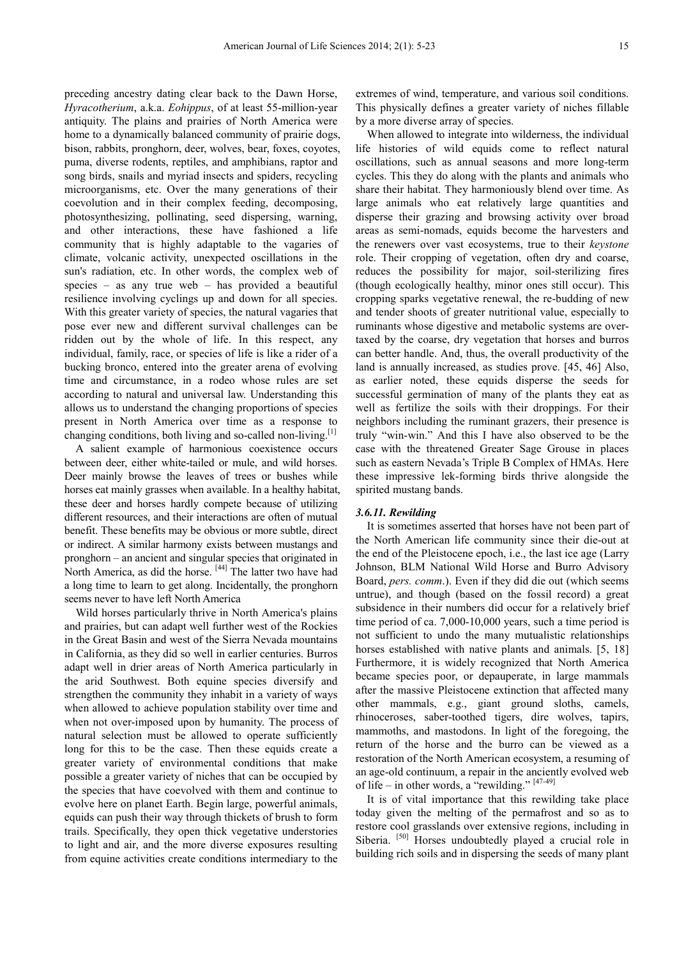preceding ancestry dating clear back to the Dawn Horse, *Hyracotherium*, a.k.a. *Eohippus*, of at least 55-million-year antiquity. The plains and prairies of North America were home to a dynamically balanced community of prairie dogs, bison, rabbits, pronghorn, deer, wolves, bear, foxes, coyotes, puma, diverse rodents, reptiles, and amphibians, raptor and song birds, snails and myriad insects and spiders, recycling microorganisms, etc. Over the many generations of their coevolution and in their complex feeding, decomposing, photosynthesizing, pollinating, seed dispersing, warning, and other interactions, these have fashioned a life community that is highly adaptable to the vagaries of climate, volcanic activity, unexpected oscillations in the sun's radiation, etc. In other words, the complex web of species – as any true web – has provided a beautiful resilience involving cyclings up and down for all species. With this greater variety of species, the natural vagaries that pose ever new and different survival challenges can be ridden out by the whole of life. In this respect, any individual, family, race, or species of life is like a rider of a bucking bronco, entered into the greater arena of evolving time and circumstance, in a rodeo whose rules are set according to natural and universal law. Understanding this allows us to understand the changing proportions of species present in North America over time as a response to changing conditions, both living and so-called non-living.<sup>[1]</sup>

A salient example of harmonious coexistence occurs between deer, either white-tailed or mule, and wild horses. Deer mainly browse the leaves of trees or bushes while horses eat mainly grasses when available. In a healthy habitat, these deer and horses hardly compete because of utilizing different resources, and their interactions are often of mutual benefit. These benefits may be obvious or more subtle, direct or indirect. A similar harmony exists between mustangs and pronghorn – an ancient and singular species that originated in North America, as did the horse. [44] The latter two have had a long time to learn to get along. Incidentally, the pronghorn seems never to have left North America

Wild horses particularly thrive in North America's plains and prairies, but can adapt well further west of the Rockies in the Great Basin and west of the Sierra Nevada mountains in California, as they did so well in earlier centuries. Burros adapt well in drier areas of North America particularly in the arid Southwest. Both equine species diversify and strengthen the community they inhabit in a variety of ways when allowed to achieve population stability over time and when not over-imposed upon by humanity. The process of natural selection must be allowed to operate sufficiently long for this to be the case. Then these equids create a greater variety of environmental conditions that make possible a greater variety of niches that can be occupied by the species that have coevolved with them and continue to evolve here on planet Earth. Begin large, powerful animals, equids can push their way through thickets of brush to form trails. Specifically, they open thick vegetative understories to light and air, and the more diverse exposures resulting from equine activities create conditions intermediary to the

extremes of wind, temperature, and various soil conditions. This physically defines a greater variety of niches fillable by a more diverse array of species.

When allowed to integrate into wilderness, the individual life histories of wild equids come to reflect natural oscillations, such as annual seasons and more long-term cycles. This they do along with the plants and animals who share their habitat. They harmoniously blend over time. As large animals who eat relatively large quantities and disperse their grazing and browsing activity over broad areas as semi-nomads, equids become the harvesters and the renewers over vast ecosystems, true to their *keystone* role. Their cropping of vegetation, often dry and coarse, reduces the possibility for major, soil-sterilizing fires (though ecologically healthy, minor ones still occur). This cropping sparks vegetative renewal, the re-budding of new and tender shoots of greater nutritional value, especially to ruminants whose digestive and metabolic systems are overtaxed by the coarse, dry vegetation that horses and burros can better handle. And, thus, the overall productivity of the land is annually increased, as studies prove. [45, 46] Also, as earlier noted, these equids disperse the seeds for successful germination of many of the plants they eat as well as fertilize the soils with their droppings. For their neighbors including the ruminant grazers, their presence is truly "win-win." And this I have also observed to be the case with the threatened Greater Sage Grouse in places such as eastern Nevada's Triple B Complex of HMAs. Here these impressive lek-forming birds thrive alongside the spirited mustang bands.

#### *3.6.11. Rewilding*

It is sometimes asserted that horses have not been part of the North American life community since their die-out at the end of the Pleistocene epoch, i.e., the last ice age (Larry Johnson, BLM National Wild Horse and Burro Advisory Board, *pers. comm*.). Even if they did die out (which seems untrue), and though (based on the fossil record) a great subsidence in their numbers did occur for a relatively brief time period of ca. 7,000-10,000 years, such a time period is not sufficient to undo the many mutualistic relationships horses established with native plants and animals. [5, 18] Furthermore, it is widely recognized that North America became species poor, or depauperate, in large mammals after the massive Pleistocene extinction that affected many other mammals, e.g., giant ground sloths, camels, rhinoceroses, saber-toothed tigers, dire wolves, tapirs, mammoths, and mastodons. In light of the foregoing, the return of the horse and the burro can be viewed as a restoration of the North American ecosystem, a resuming of an age-old continuum, a repair in the anciently evolved web of life – in other words, a "rewilding."  $[47-49]$ 

It is of vital importance that this rewilding take place today given the melting of the permafrost and so as to restore cool grasslands over extensive regions, including in Siberia. <sup>[50]</sup> Horses undoubtedly played a crucial role in building rich soils and in dispersing the seeds of many plant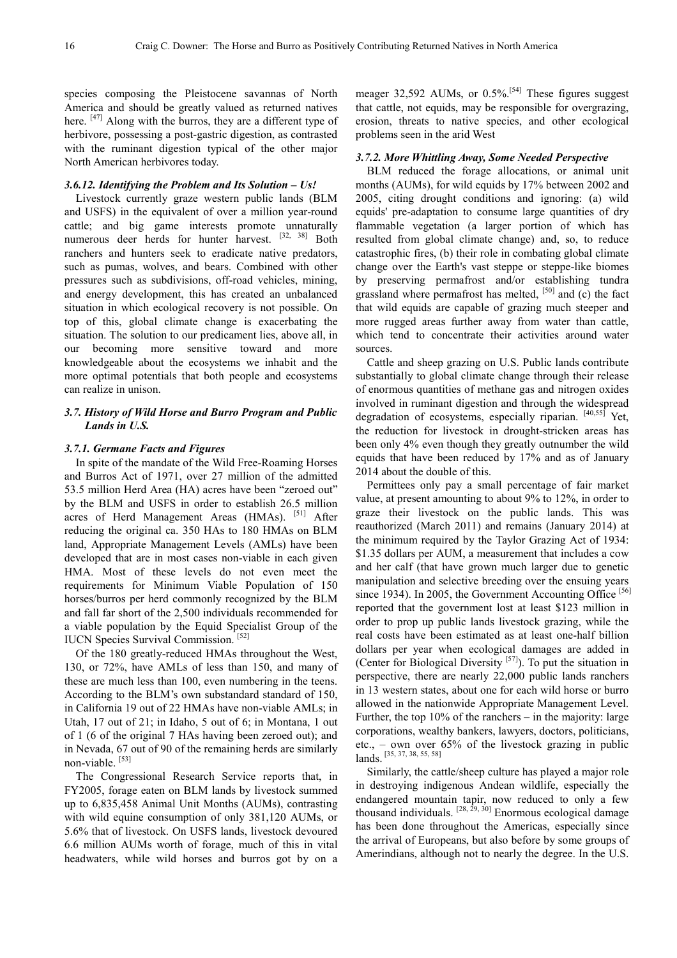species composing the Pleistocene savannas of North America and should be greatly valued as returned natives here.  $[47]$  Along with the burros, they are a different type of herbivore, possessing a post-gastric digestion, as contrasted with the ruminant digestion typical of the other major North American herbivores today.

#### *3.6.12. Identifying the Problem and Its Solution – Us!*

Livestock currently graze western public lands (BLM and USFS) in the equivalent of over a million year-round cattle; and big game interests promote unnaturally numerous deer herds for hunter harvest. [32, 38] Both ranchers and hunters seek to eradicate native predators, such as pumas, wolves, and bears. Combined with other pressures such as subdivisions, off-road vehicles, mining, and energy development, this has created an unbalanced situation in which ecological recovery is not possible. On top of this, global climate change is exacerbating the situation. The solution to our predicament lies, above all, in our becoming more sensitive toward and more knowledgeable about the ecosystems we inhabit and the more optimal potentials that both people and ecosystems can realize in unison.

## *3.7. History of Wild Horse and Burro Program and Public Lands in U.S.*

#### *3.7.1. Germane Facts and Figures*

In spite of the mandate of the Wild Free-Roaming Horses and Burros Act of 1971, over 27 million of the admitted 53.5 million Herd Area (HA) acres have been "zeroed out" by the BLM and USFS in order to establish 26.5 million acres of Herd Management Areas (HMAs). [51] After reducing the original ca. 350 HAs to 180 HMAs on BLM land, Appropriate Management Levels (AMLs) have been developed that are in most cases non-viable in each given HMA. Most of these levels do not even meet the requirements for Minimum Viable Population of 150 horses/burros per herd commonly recognized by the BLM and fall far short of the 2,500 individuals recommended for a viable population by the Equid Specialist Group of the IUCN Species Survival Commission. [52]

Of the 180 greatly-reduced HMAs throughout the West, 130, or 72%, have AMLs of less than 150, and many of these are much less than 100, even numbering in the teens. According to the BLM's own substandard standard of 150, in California 19 out of 22 HMAs have non-viable AMLs; in Utah, 17 out of 21; in Idaho, 5 out of 6; in Montana, 1 out of 1 (6 of the original 7 HAs having been zeroed out); and in Nevada, 67 out of 90 of the remaining herds are similarly non-viable. [53]

The Congressional Research Service reports that, in FY2005, forage eaten on BLM lands by livestock summed up to 6,835,458 Animal Unit Months (AUMs), contrasting with wild equine consumption of only 381,120 AUMs, or 5.6% that of livestock. On USFS lands, livestock devoured 6.6 million AUMs worth of forage, much of this in vital headwaters, while wild horses and burros got by on a

meager 32,592 AUMs, or 0.5%.<sup>[54]</sup> These figures suggest that cattle, not equids, may be responsible for overgrazing, erosion, threats to native species, and other ecological problems seen in the arid West

#### *3.7.2. More Whittling Away, Some Needed Perspective*

BLM reduced the forage allocations, or animal unit months (AUMs), for wild equids by 17% between 2002 and 2005, citing drought conditions and ignoring: (a) wild equids' pre-adaptation to consume large quantities of dry flammable vegetation (a larger portion of which has resulted from global climate change) and, so, to reduce catastrophic fires, (b) their role in combating global climate change over the Earth's vast steppe or steppe-like biomes by preserving permafrost and/or establishing tundra grassland where permafrost has melted, [50] and (c) the fact that wild equids are capable of grazing much steeper and more rugged areas further away from water than cattle, which tend to concentrate their activities around water sources.

Cattle and sheep grazing on U.S. Public lands contribute substantially to global climate change through their release of enormous quantities of methane gas and nitrogen oxides involved in ruminant digestion and through the widespread degradation of ecosystems, especially riparian. [40,55] Yet, the reduction for livestock in drought-stricken areas has been only 4% even though they greatly outnumber the wild equids that have been reduced by 17% and as of January 2014 about the double of this.

Permittees only pay a small percentage of fair market value, at present amounting to about 9% to 12%, in order to graze their livestock on the public lands. This was reauthorized (March 2011) and remains (January 2014) at the minimum required by the Taylor Grazing Act of 1934: \$1.35 dollars per AUM, a measurement that includes a cow and her calf (that have grown much larger due to genetic manipulation and selective breeding over the ensuing years since 1934). In 2005, the Government Accounting Office [56] reported that the government lost at least \$123 million in order to prop up public lands livestock grazing, while the real costs have been estimated as at least one-half billion dollars per year when ecological damages are added in (Center for Biological Diversity [57]). To put the situation in perspective, there are nearly 22,000 public lands ranchers in 13 western states, about one for each wild horse or burro allowed in the nationwide Appropriate Management Level. Further, the top 10% of the ranchers – in the majority: large corporations, wealthy bankers, lawyers, doctors, politicians, etc., – own over 65% of the livestock grazing in public lands. [35, 37, 38, 55, 58]

Similarly, the cattle/sheep culture has played a major role in destroying indigenous Andean wildlife, especially the endangered mountain tapir, now reduced to only a few thousand individuals.  $[28, 29, 30]$  Enormous ecological damage has been done throughout the Americas, especially since the arrival of Europeans, but also before by some groups of Amerindians, although not to nearly the degree. In the U.S.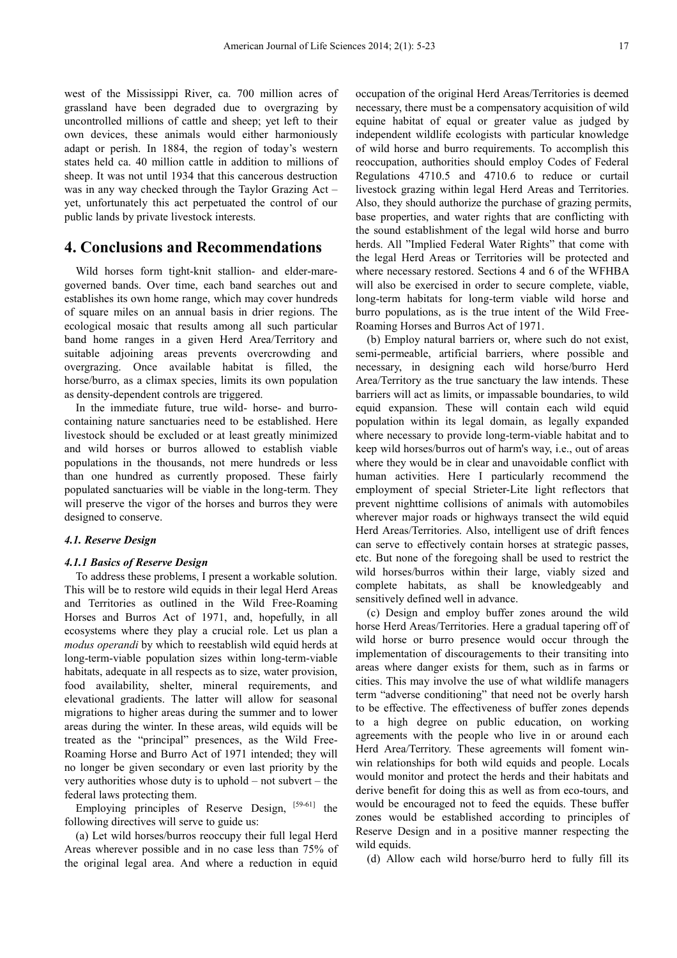west of the Mississippi River, ca. 700 million acres of grassland have been degraded due to overgrazing by uncontrolled millions of cattle and sheep; yet left to their own devices, these animals would either harmoniously adapt or perish. In 1884, the region of today's western states held ca. 40 million cattle in addition to millions of sheep. It was not until 1934 that this cancerous destruction was in any way checked through the Taylor Grazing Act – yet, unfortunately this act perpetuated the control of our public lands by private livestock interests.

## **4. Conclusions and Recommendations**

Wild horses form tight-knit stallion- and elder-maregoverned bands. Over time, each band searches out and establishes its own home range, which may cover hundreds of square miles on an annual basis in drier regions. The ecological mosaic that results among all such particular band home ranges in a given Herd Area/Territory and suitable adjoining areas prevents overcrowding and overgrazing. Once available habitat is filled, the horse/burro, as a climax species, limits its own population as density-dependent controls are triggered.

In the immediate future, true wild- horse- and burrocontaining nature sanctuaries need to be established. Here livestock should be excluded or at least greatly minimized and wild horses or burros allowed to establish viable populations in the thousands, not mere hundreds or less than one hundred as currently proposed. These fairly populated sanctuaries will be viable in the long-term. They will preserve the vigor of the horses and burros they were designed to conserve.

## *4.1. Reserve Design*

## *4.1.1 Basics of Reserve Design*

To address these problems, I present a workable solution. This will be to restore wild equids in their legal Herd Areas and Territories as outlined in the Wild Free-Roaming Horses and Burros Act of 1971, and, hopefully, in all ecosystems where they play a crucial role. Let us plan a *modus operandi* by which to reestablish wild equid herds at long-term-viable population sizes within long-term-viable habitats, adequate in all respects as to size, water provision, food availability, shelter, mineral requirements, and elevational gradients. The latter will allow for seasonal migrations to higher areas during the summer and to lower areas during the winter. In these areas, wild equids will be treated as the "principal" presences, as the Wild Free-Roaming Horse and Burro Act of 1971 intended; they will no longer be given secondary or even last priority by the very authorities whose duty is to uphold – not subvert – the federal laws protecting them.

Employing principles of Reserve Design, [59-61] the following directives will serve to guide us:

(a) Let wild horses/burros reoccupy their full legal Herd Areas wherever possible and in no case less than 75% of the original legal area. And where a reduction in equid

occupation of the original Herd Areas/Territories is deemed necessary, there must be a compensatory acquisition of wild equine habitat of equal or greater value as judged by independent wildlife ecologists with particular knowledge of wild horse and burro requirements. To accomplish this reoccupation, authorities should employ Codes of Federal Regulations 4710.5 and 4710.6 to reduce or curtail livestock grazing within legal Herd Areas and Territories. Also, they should authorize the purchase of grazing permits, base properties, and water rights that are conflicting with the sound establishment of the legal wild horse and burro herds. All "Implied Federal Water Rights" that come with the legal Herd Areas or Territories will be protected and where necessary restored. Sections 4 and 6 of the WFHBA will also be exercised in order to secure complete, viable, long-term habitats for long-term viable wild horse and burro populations, as is the true intent of the Wild Free-Roaming Horses and Burros Act of 1971.

(b) Employ natural barriers or, where such do not exist, semi-permeable, artificial barriers, where possible and necessary, in designing each wild horse/burro Herd Area/Territory as the true sanctuary the law intends. These barriers will act as limits, or impassable boundaries, to wild equid expansion. These will contain each wild equid population within its legal domain, as legally expanded where necessary to provide long-term-viable habitat and to keep wild horses/burros out of harm's way, i.e., out of areas where they would be in clear and unavoidable conflict with human activities. Here I particularly recommend the employment of special Strieter-Lite light reflectors that prevent nighttime collisions of animals with automobiles wherever major roads or highways transect the wild equid Herd Areas/Territories. Also, intelligent use of drift fences can serve to effectively contain horses at strategic passes, etc. But none of the foregoing shall be used to restrict the wild horses/burros within their large, viably sized and complete habitats, as shall be knowledgeably and sensitively defined well in advance.

(c) Design and employ buffer zones around the wild horse Herd Areas/Territories. Here a gradual tapering off of wild horse or burro presence would occur through the implementation of discouragements to their transiting into areas where danger exists for them, such as in farms or cities. This may involve the use of what wildlife managers term "adverse conditioning" that need not be overly harsh to be effective. The effectiveness of buffer zones depends to a high degree on public education, on working agreements with the people who live in or around each Herd Area/Territory. These agreements will foment winwin relationships for both wild equids and people. Locals would monitor and protect the herds and their habitats and derive benefit for doing this as well as from eco-tours, and would be encouraged not to feed the equids. These buffer zones would be established according to principles of Reserve Design and in a positive manner respecting the wild equids.

(d) Allow each wild horse/burro herd to fully fill its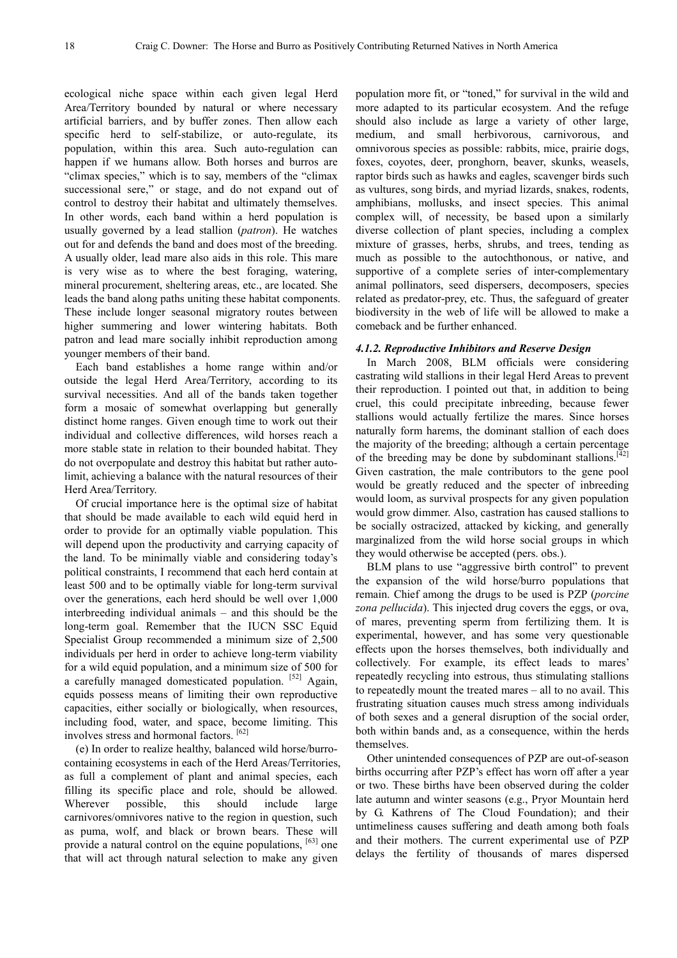ecological niche space within each given legal Herd Area/Territory bounded by natural or where necessary artificial barriers, and by buffer zones. Then allow each specific herd to self-stabilize, or auto-regulate, its population, within this area. Such auto-regulation can happen if we humans allow. Both horses and burros are "climax species," which is to say, members of the "climax successional sere," or stage, and do not expand out of control to destroy their habitat and ultimately themselves. In other words, each band within a herd population is usually governed by a lead stallion (*patron*). He watches out for and defends the band and does most of the breeding. A usually older, lead mare also aids in this role. This mare is very wise as to where the best foraging, watering, mineral procurement, sheltering areas, etc., are located. She leads the band along paths uniting these habitat components. These include longer seasonal migratory routes between higher summering and lower wintering habitats. Both patron and lead mare socially inhibit reproduction among younger members of their band.

Each band establishes a home range within and/or outside the legal Herd Area/Territory, according to its survival necessities. And all of the bands taken together form a mosaic of somewhat overlapping but generally distinct home ranges. Given enough time to work out their individual and collective differences, wild horses reach a more stable state in relation to their bounded habitat. They do not overpopulate and destroy this habitat but rather autolimit, achieving a balance with the natural resources of their Herd Area/Territory.

Of crucial importance here is the optimal size of habitat that should be made available to each wild equid herd in order to provide for an optimally viable population. This will depend upon the productivity and carrying capacity of the land. To be minimally viable and considering today's political constraints, I recommend that each herd contain at least 500 and to be optimally viable for long-term survival over the generations, each herd should be well over 1,000 interbreeding individual animals – and this should be the long-term goal. Remember that the IUCN SSC Equid Specialist Group recommended a minimum size of 2,500 individuals per herd in order to achieve long-term viability for a wild equid population, and a minimum size of 500 for a carefully managed domesticated population. [52] Again, equids possess means of limiting their own reproductive capacities, either socially or biologically, when resources, including food, water, and space, become limiting. This involves stress and hormonal factors. [62]

(e) In order to realize healthy, balanced wild horse/burrocontaining ecosystems in each of the Herd Areas/Territories, as full a complement of plant and animal species, each filling its specific place and role, should be allowed. Wherever possible, this should include large carnivores/omnivores native to the region in question, such as puma, wolf, and black or brown bears. These will provide a natural control on the equine populations, <sup>[63]</sup> one that will act through natural selection to make any given

population more fit, or "toned," for survival in the wild and more adapted to its particular ecosystem. And the refuge should also include as large a variety of other large, medium, and small herbivorous, carnivorous, and omnivorous species as possible: rabbits, mice, prairie dogs, foxes, coyotes, deer, pronghorn, beaver, skunks, weasels, raptor birds such as hawks and eagles, scavenger birds such as vultures, song birds, and myriad lizards, snakes, rodents, amphibians, mollusks, and insect species. This animal complex will, of necessity, be based upon a similarly diverse collection of plant species, including a complex mixture of grasses, herbs, shrubs, and trees, tending as much as possible to the autochthonous, or native, and supportive of a complete series of inter-complementary animal pollinators, seed dispersers, decomposers, species related as predator-prey, etc. Thus, the safeguard of greater biodiversity in the web of life will be allowed to make a comeback and be further enhanced.

#### *4.1.2. Reproductive Inhibitors and Reserve Design*

In March 2008, BLM officials were considering castrating wild stallions in their legal Herd Areas to prevent their reproduction. I pointed out that, in addition to being cruel, this could precipitate inbreeding, because fewer stallions would actually fertilize the mares. Since horses naturally form harems, the dominant stallion of each does the majority of the breeding; although a certain percentage of the breeding may be done by subdominant stallions.<sup>[42]</sup> Given castration, the male contributors to the gene pool would be greatly reduced and the specter of inbreeding would loom, as survival prospects for any given population would grow dimmer. Also, castration has caused stallions to be socially ostracized, attacked by kicking, and generally marginalized from the wild horse social groups in which they would otherwise be accepted (pers. obs.).

BLM plans to use "aggressive birth control" to prevent the expansion of the wild horse/burro populations that remain. Chief among the drugs to be used is PZP (*porcine zona pellucida*). This injected drug covers the eggs, or ova, of mares, preventing sperm from fertilizing them. It is experimental, however, and has some very questionable effects upon the horses themselves, both individually and collectively. For example, its effect leads to mares' repeatedly recycling into estrous, thus stimulating stallions to repeatedly mount the treated mares – all to no avail. This frustrating situation causes much stress among individuals of both sexes and a general disruption of the social order, both within bands and, as a consequence, within the herds themselves.

Other unintended consequences of PZP are out-of-season births occurring after PZP's effect has worn off after a year or two. These births have been observed during the colder late autumn and winter seasons (e.g., Pryor Mountain herd by G. Kathrens of The Cloud Foundation); and their untimeliness causes suffering and death among both foals and their mothers. The current experimental use of PZP delays the fertility of thousands of mares dispersed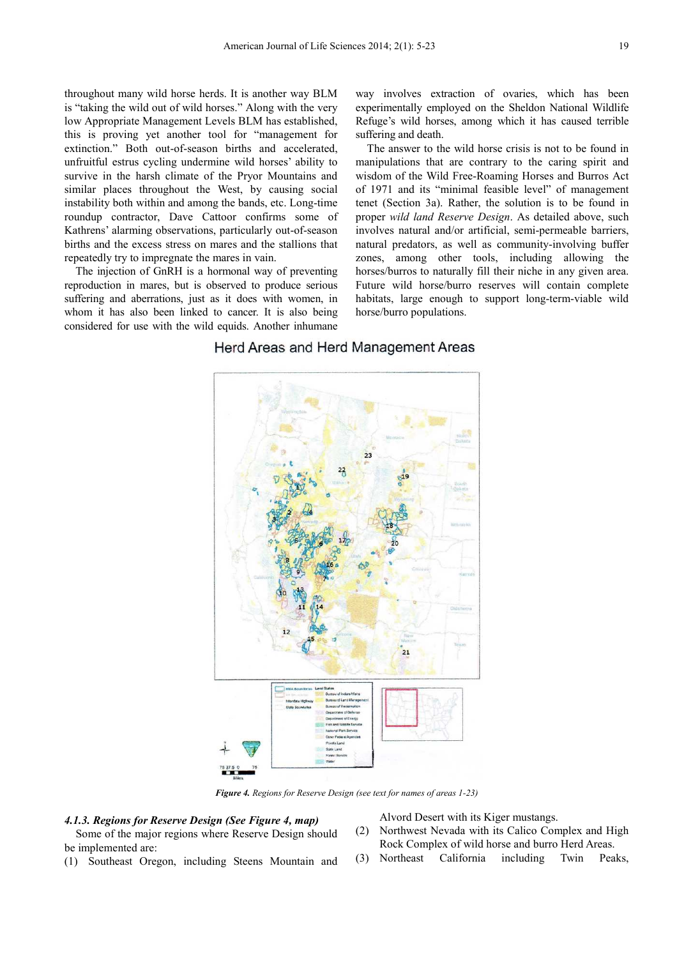throughout many wild horse herds. It is another way BLM is "taking the wild out of wild horses." Along with the very low Appropriate Management Levels BLM has established, this is proving yet another tool for "management for extinction." Both out-of-season births and accelerated, unfruitful estrus cycling undermine wild horses' ability to survive in the harsh climate of the Pryor Mountains and similar places throughout the West, by causing social instability both within and among the bands, etc. Long-time roundup contractor, Dave Cattoor confirms some of Kathrens' alarming observations, particularly out-of-season births and the excess stress on mares and the stallions that repeatedly try to impregnate the mares in vain.

The injection of GnRH is a hormonal way of preventing reproduction in mares, but is observed to produce serious suffering and aberrations, just as it does with women, in whom it has also been linked to cancer. It is also being considered for use with the wild equids. Another inhumane

way involves extraction of ovaries, which has been experimentally employed on the Sheldon National Wildlife Refuge's wild horses, among which it has caused terrible suffering and death.

The answer to the wild horse crisis is not to be found in manipulations that are contrary to the caring spirit and wisdom of the Wild Free-Roaming Horses and Burros Act of 1971 and its "minimal feasible level" of management tenet (Section 3a). Rather, the solution is to be found in proper *wild land Reserve Design*. As detailed above, such involves natural and/or artificial, semi-permeable barriers, natural predators, as well as community-involving buffer zones, among other tools, including allowing the horses/burros to naturally fill their niche in any given area. Future wild horse/burro reserves will contain complete habitats, large enough to support long-term-viable wild horse/burro populations.

## Herd Areas and Herd Management Areas



*Figure 4. Regions for Reserve Design (see text for names of areas 1-23)* 

## *4.1.3. Regions for Reserve Design (See Figure 4, map)*

Some of the major regions where Reserve Design should be implemented are:

(1) Southeast Oregon, including Steens Mountain and

Alvord Desert with its Kiger mustangs.

- (2) Northwest Nevada with its Calico Complex and High Rock Complex of wild horse and burro Herd Areas.
- (3) Northeast California including Twin Peaks,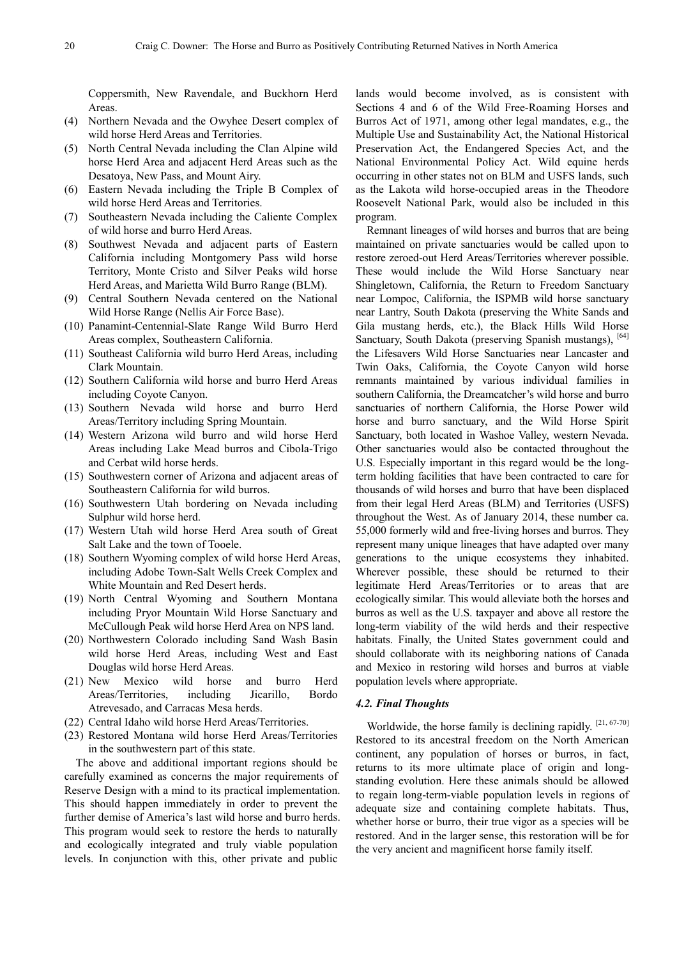Coppersmith, New Ravendale, and Buckhorn Herd Areas.

- (4) Northern Nevada and the Owyhee Desert complex of wild horse Herd Areas and Territories.
- (5) North Central Nevada including the Clan Alpine wild horse Herd Area and adjacent Herd Areas such as the Desatoya, New Pass, and Mount Airy.
- (6) Eastern Nevada including the Triple B Complex of wild horse Herd Areas and Territories.
- (7) Southeastern Nevada including the Caliente Complex of wild horse and burro Herd Areas.
- (8) Southwest Nevada and adjacent parts of Eastern California including Montgomery Pass wild horse Territory, Monte Cristo and Silver Peaks wild horse Herd Areas, and Marietta Wild Burro Range (BLM).
- (9) Central Southern Nevada centered on the National Wild Horse Range (Nellis Air Force Base).
- (10) Panamint-Centennial-Slate Range Wild Burro Herd Areas complex, Southeastern California.
- (11) Southeast California wild burro Herd Areas, including Clark Mountain.
- (12) Southern California wild horse and burro Herd Areas including Coyote Canyon.
- (13) Southern Nevada wild horse and burro Herd Areas/Territory including Spring Mountain.
- (14) Western Arizona wild burro and wild horse Herd Areas including Lake Mead burros and Cibola-Trigo and Cerbat wild horse herds.
- (15) Southwestern corner of Arizona and adjacent areas of Southeastern California for wild burros.
- (16) Southwestern Utah bordering on Nevada including Sulphur wild horse herd.
- (17) Western Utah wild horse Herd Area south of Great Salt Lake and the town of Tooele.
- (18) Southern Wyoming complex of wild horse Herd Areas, including Adobe Town-Salt Wells Creek Complex and White Mountain and Red Desert herds.
- (19) North Central Wyoming and Southern Montana including Pryor Mountain Wild Horse Sanctuary and McCullough Peak wild horse Herd Area on NPS land.
- (20) Northwestern Colorado including Sand Wash Basin wild horse Herd Areas, including West and East Douglas wild horse Herd Areas.
- (21) New Mexico wild horse and burro Herd Areas/Territories, including Jicarillo, Bordo Atrevesado, and Carracas Mesa herds.
- (22) Central Idaho wild horse Herd Areas/Territories.
- (23) Restored Montana wild horse Herd Areas/Territories in the southwestern part of this state.

The above and additional important regions should be carefully examined as concerns the major requirements of Reserve Design with a mind to its practical implementation. This should happen immediately in order to prevent the further demise of America's last wild horse and burro herds. This program would seek to restore the herds to naturally and ecologically integrated and truly viable population levels. In conjunction with this, other private and public

lands would become involved, as is consistent with Sections 4 and 6 of the Wild Free-Roaming Horses and Burros Act of 1971, among other legal mandates, e.g., the Multiple Use and Sustainability Act, the National Historical Preservation Act, the Endangered Species Act, and the National Environmental Policy Act. Wild equine herds occurring in other states not on BLM and USFS lands, such as the Lakota wild horse-occupied areas in the Theodore Roosevelt National Park, would also be included in this program.

Remnant lineages of wild horses and burros that are being maintained on private sanctuaries would be called upon to restore zeroed-out Herd Areas/Territories wherever possible. These would include the Wild Horse Sanctuary near Shingletown, California, the Return to Freedom Sanctuary near Lompoc, California, the ISPMB wild horse sanctuary near Lantry, South Dakota (preserving the White Sands and Gila mustang herds, etc.), the Black Hills Wild Horse Sanctuary, South Dakota (preserving Spanish mustangs), [64] the Lifesavers Wild Horse Sanctuaries near Lancaster and Twin Oaks, California, the Coyote Canyon wild horse remnants maintained by various individual families in southern California, the Dreamcatcher's wild horse and burro sanctuaries of northern California, the Horse Power wild horse and burro sanctuary, and the Wild Horse Spirit Sanctuary, both located in Washoe Valley, western Nevada. Other sanctuaries would also be contacted throughout the U.S. Especially important in this regard would be the longterm holding facilities that have been contracted to care for thousands of wild horses and burro that have been displaced from their legal Herd Areas (BLM) and Territories (USFS) throughout the West. As of January 2014, these number ca. 55,000 formerly wild and free-living horses and burros. They represent many unique lineages that have adapted over many generations to the unique ecosystems they inhabited. Wherever possible, these should be returned to their legitimate Herd Areas/Territories or to areas that are ecologically similar. This would alleviate both the horses and burros as well as the U.S. taxpayer and above all restore the long-term viability of the wild herds and their respective habitats. Finally, the United States government could and should collaborate with its neighboring nations of Canada and Mexico in restoring wild horses and burros at viable population levels where appropriate.

## *4.2. Final Thoughts*

Worldwide, the horse family is declining rapidly.  $[21, 67-70]$ Restored to its ancestral freedom on the North American continent, any population of horses or burros, in fact, returns to its more ultimate place of origin and longstanding evolution. Here these animals should be allowed to regain long-term-viable population levels in regions of adequate size and containing complete habitats. Thus, whether horse or burro, their true vigor as a species will be restored. And in the larger sense, this restoration will be for the very ancient and magnificent horse family itself.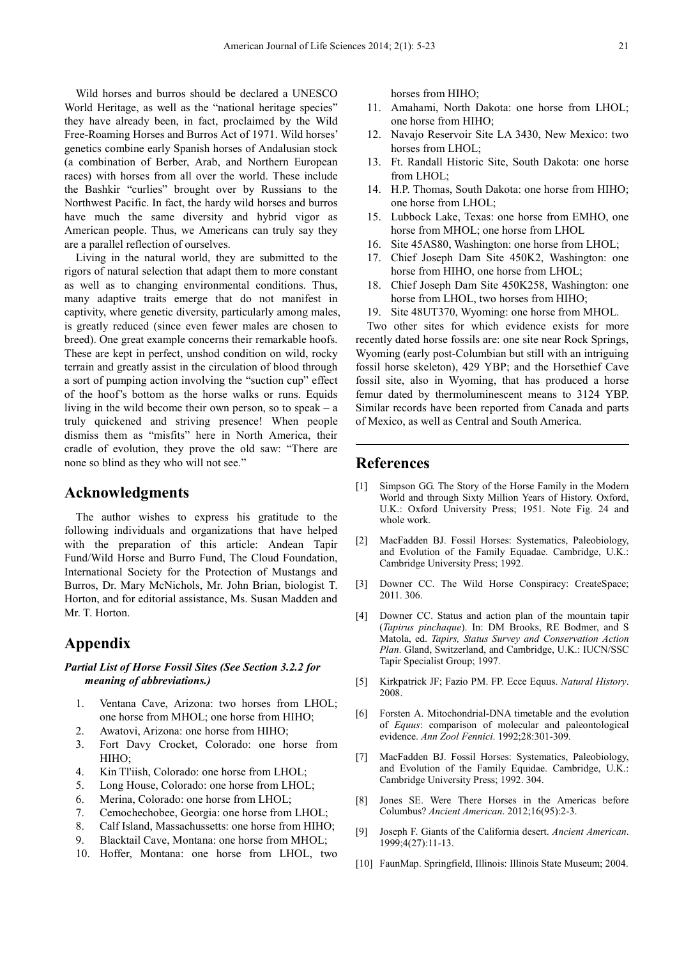Wild horses and burros should be declared a UNESCO World Heritage, as well as the "national heritage species" they have already been, in fact, proclaimed by the Wild Free-Roaming Horses and Burros Act of 1971. Wild horses' genetics combine early Spanish horses of Andalusian stock (a combination of Berber, Arab, and Northern European races) with horses from all over the world. These include the Bashkir "curlies" brought over by Russians to the Northwest Pacific. In fact, the hardy wild horses and burros have much the same diversity and hybrid vigor as American people. Thus, we Americans can truly say they are a parallel reflection of ourselves.

Living in the natural world, they are submitted to the rigors of natural selection that adapt them to more constant as well as to changing environmental conditions. Thus, many adaptive traits emerge that do not manifest in captivity, where genetic diversity, particularly among males, is greatly reduced (since even fewer males are chosen to breed). One great example concerns their remarkable hoofs. These are kept in perfect, unshod condition on wild, rocky terrain and greatly assist in the circulation of blood through a sort of pumping action involving the "suction cup" effect of the hoof's bottom as the horse walks or runs. Equids living in the wild become their own person, so to speak – a truly quickened and striving presence! When people dismiss them as "misfits" here in North America, their cradle of evolution, they prove the old saw: "There are none so blind as they who will not see."

## **Acknowledgments**

The author wishes to express his gratitude to the following individuals and organizations that have helped with the preparation of this article: Andean Tapir Fund/Wild Horse and Burro Fund, The Cloud Foundation, International Society for the Protection of Mustangs and Burros, Dr. Mary McNichols, Mr. John Brian, biologist T. Horton, and for editorial assistance, Ms. Susan Madden and Mr. T. Horton.

## **Appendix**

## *Partial List of Horse Fossil Sites (See Section 3.2.2 for meaning of abbreviations.)*

- 1. Ventana Cave, Arizona: two horses from LHOL; one horse from MHOL; one horse from HIHO;
- 2. Awatovi, Arizona: one horse from HIHO;
- 3. Fort Davy Crocket, Colorado: one horse from HIHO;
- 4. Kin Tl'iish, Colorado: one horse from LHOL;
- 5. Long House, Colorado: one horse from LHOL;
- 6. Merina, Colorado: one horse from LHOL;
- 7. Cemochechobee, Georgia: one horse from LHOL;
- 8. Calf Island, Massachussetts: one horse from HIHO;
- 9. Blacktail Cave, Montana: one horse from MHOL;
- 10. Hoffer, Montana: one horse from LHOL, two

horses from HIHO;

- 11. Amahami, North Dakota: one horse from LHOL; one horse from HIHO;
- 12. Navajo Reservoir Site LA 3430, New Mexico: two horses from LHOL;
- 13. Ft. Randall Historic Site, South Dakota: one horse from LHOL;
- 14. H.P. Thomas, South Dakota: one horse from HIHO; one horse from LHOL;
- 15. Lubbock Lake, Texas: one horse from EMHO, one horse from MHOL; one horse from LHOL
- 16. Site 45AS80, Washington: one horse from LHOL;
- 17. Chief Joseph Dam Site 450K2, Washington: one horse from HIHO, one horse from LHOL:
- 18. Chief Joseph Dam Site 450K258, Washington: one horse from LHOL, two horses from HIHO;
- 19. Site 48UT370, Wyoming: one horse from MHOL.

Two other sites for which evidence exists for more recently dated horse fossils are: one site near Rock Springs, Wyoming (early post-Columbian but still with an intriguing fossil horse skeleton), 429 YBP; and the Horsethief Cave fossil site, also in Wyoming, that has produced a horse femur dated by thermoluminescent means to 3124 YBP. Similar records have been reported from Canada and parts of Mexico, as well as Central and South America.

## **References**

- [1] Simpson GG. The Story of the Horse Family in the Modern World and through Sixty Million Years of History. Oxford, U.K.: Oxford University Press; 1951. Note Fig. 24 and whole work.
- [2] MacFadden BJ. Fossil Horses: Systematics, Paleobiology, and Evolution of the Family Equadae. Cambridge, U.K.: Cambridge University Press; 1992.
- [3] Downer CC. The Wild Horse Conspiracy: CreateSpace; 2011. 306.
- [4] Downer CC. Status and action plan of the mountain tapir (*Tapirus pinchaque*). In: DM Brooks, RE Bodmer, and S Matola, ed. *Tapirs, Status Survey and Conservation Action Plan*. Gland, Switzerland, and Cambridge, U.K.: IUCN/SSC Tapir Specialist Group; 1997.
- [5] Kirkpatrick JF; Fazio PM. FP. Ecce Equus. *Natural History*. 2008.
- [6] Forsten A. Mitochondrial-DNA timetable and the evolution of *Equus*: comparison of molecular and paleontological evidence. *Ann Zool Fennici*. 1992;28:301-309.
- [7] MacFadden BJ. Fossil Horses: Systematics, Paleobiology, and Evolution of the Family Equidae. Cambridge, U.K.: Cambridge University Press; 1992. 304.
- Jones SE. Were There Horses in the Americas before Columbus? *Ancient American*. 2012;16(95):2-3.
- [9] Joseph F. Giants of the California desert. *Ancient American*. 1999;4(27):11-13.
- [10] FaunMap. Springfield, Illinois: Illinois State Museum; 2004.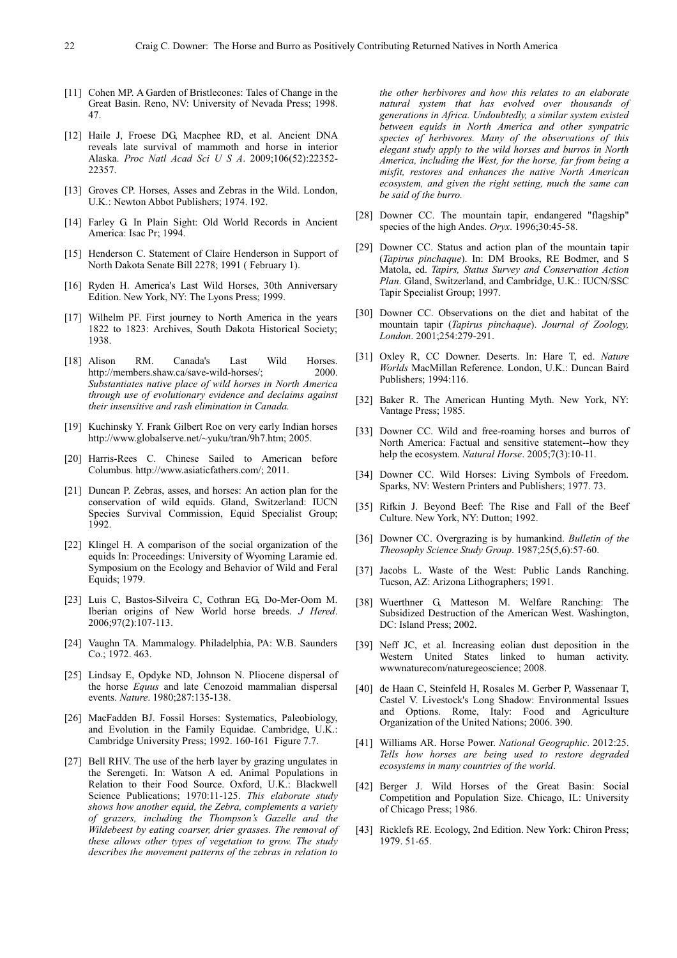- 
- [11] Cohen MP. A Garden of Bristlecones: Tales of Change in the Great Basin. Reno, NV: University of Nevada Press; 1998. 47.
- [12] Haile J, Froese DG, Macphee RD, et al. Ancient DNA reveals late survival of mammoth and horse in interior Alaska. *Proc Natl Acad Sci U S A*. 2009;106(52):22352- 22357.
- [13] Groves CP. Horses, Asses and Zebras in the Wild. London, U.K.: Newton Abbot Publishers; 1974. 192.
- [14] Farley G. In Plain Sight: Old World Records in Ancient America: Isac Pr; 1994.
- [15] Henderson C. Statement of Claire Henderson in Support of North Dakota Senate Bill 2278; 1991 ( February 1).
- [16] Ryden H. America's Last Wild Horses, 30th Anniversary Edition. New York, NY: The Lyons Press; 1999.
- [17] Wilhelm PF. First journey to North America in the years 1822 to 1823: Archives, South Dakota Historical Society; 1938.
- [18] Alison RM. Canada's Last Wild Horses. http://members.shaw.ca/save-wild-horses/; 2000. *Substantiates native place of wild horses in North America through use of evolutionary evidence and declaims against their insensitive and rash elimination in Canada.*
- [19] Kuchinsky Y. Frank Gilbert Roe on very early Indian horses http://www.globalserve.net/~yuku/tran/9h7.htm; 2005.
- [20] Harris-Rees C. Chinese Sailed to American before Columbus. http://www.asiaticfathers.com/; 2011.
- [21] Duncan P. Zebras, asses, and horses: An action plan for the conservation of wild equids. Gland, Switzerland: IUCN Species Survival Commission, Equid Specialist Group; 1992.
- [22] Klingel H. A comparison of the social organization of the equids In: Proceedings: University of Wyoming Laramie ed. Symposium on the Ecology and Behavior of Wild and Feral Equids; 1979.
- [23] Luis C, Bastos-Silveira C, Cothran EG, Do-Mer-Oom M. Iberian origins of New World horse breeds. *J Hered*. 2006;97(2):107-113.
- [24] Vaughn TA. Mammalogy. Philadelphia, PA: W.B. Saunders Co.; 1972. 463.
- [25] Lindsay E, Opdyke ND, Johnson N. Pliocene dispersal of the horse *Equus* and late Cenozoid mammalian dispersal events. *Nature*. 1980;287:135-138.
- [26] MacFadden BJ. Fossil Horses: Systematics, Paleobiology, and Evolution in the Family Equidae. Cambridge, U.K.: Cambridge University Press; 1992. 160-161 Figure 7.7.
- [27] Bell RHV. The use of the herb layer by grazing ungulates in the Serengeti. In: Watson A ed. Animal Populations in Relation to their Food Source. Oxford, U.K.: Blackwell Science Publications; 1970:11-125. *This elaborate study shows how another equid, the Zebra, complements a variety of grazers, including the Thompson's Gazelle and the Wildebeest by eating coarser, drier grasses. The removal of these allows other types of vegetation to grow. The study describes the movement patterns of the zebras in relation to*

*the other herbivores and how this relates to an elaborate natural system that has evolved over thousands of generations in Africa. Undoubtedly, a similar system existed between equids in North America and other sympatric species of herbivores. Many of the observations of this elegant study apply to the wild horses and burros in North America, including the West, for the horse, far from being a misfit, restores and enhances the native North American ecosystem, and given the right setting, much the same can be said of the burro.* 

- [28] Downer CC. The mountain tapir, endangered "flagship" species of the high Andes. *Oryx*. 1996;30:45-58.
- [29] Downer CC. Status and action plan of the mountain tapir (*Tapirus pinchaque*). In: DM Brooks, RE Bodmer, and S Matola, ed. *Tapirs, Status Survey and Conservation Action Plan*. Gland, Switzerland, and Cambridge, U.K.: IUCN/SSC Tapir Specialist Group; 1997.
- [30] Downer CC. Observations on the diet and habitat of the mountain tapir (*Tapirus pinchaque*). *Journal of Zoology, London*. 2001;254:279-291.
- [31] Oxley R, CC Downer. Deserts. In: Hare T, ed. *Nature Worlds* MacMillan Reference. London, U.K.: Duncan Baird Publishers; 1994:116.
- [32] Baker R. The American Hunting Myth. New York, NY: Vantage Press; 1985.
- [33] Downer CC. Wild and free-roaming horses and burros of North America: Factual and sensitive statement--how they help the ecosystem. *Natural Horse*. 2005;7(3):10-11.
- [34] Downer CC. Wild Horses: Living Symbols of Freedom. Sparks, NV: Western Printers and Publishers; 1977. 73.
- [35] Rifkin J. Beyond Beef: The Rise and Fall of the Beef Culture. New York, NY: Dutton; 1992.
- [36] Downer CC. Overgrazing is by humankind. *Bulletin of the Theosophy Science Study Group*. 1987;25(5,6):57-60.
- [37] Jacobs L. Waste of the West: Public Lands Ranching. Tucson, AZ: Arizona Lithographers; 1991.
- [38] Wuerthner G, Matteson M. Welfare Ranching: The Subsidized Destruction of the American West. Washington, DC: Island Press; 2002.
- [39] Neff JC, et al. Increasing eolian dust deposition in the Western United States linked to human activity. wwwnaturecom/naturegeoscience; 2008.
- [40] de Haan C, Steinfeld H, Rosales M. Gerber P, Wassenaar T, Castel V. Livestock's Long Shadow: Environmental Issues and Options. Rome, Italy: Food and Agriculture Organization of the United Nations; 2006. 390.
- [41] Williams AR. Horse Power. *National Geographic*. 2012:25. *Tells how horses are being used to restore degraded ecosystems in many countries of the world*.
- [42] Berger J. Wild Horses of the Great Basin: Social Competition and Population Size. Chicago, IL: University of Chicago Press; 1986.
- [43] Ricklefs RE. Ecology, 2nd Edition. New York: Chiron Press; 1979. 51-65.